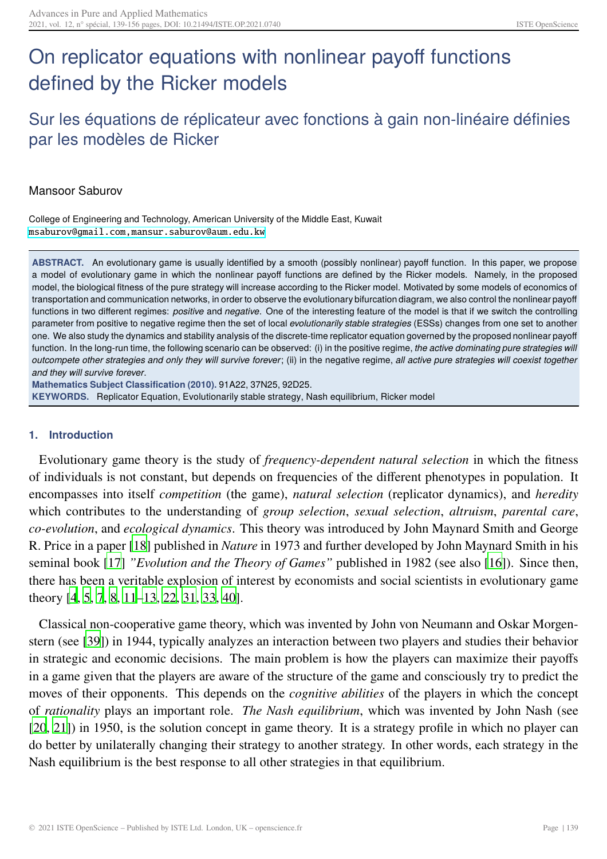# <span id="page-0-0"></span>On replicator equations with nonlinear payoff functions defined by the Ricker models

# Sur les équations de réplicateur avec fonctions à gain non-linéaire définies par les modèles de Ricker

# Mansoor Saburov

College of Engineering and Technology, American University of the Middle East, Kuwait [msaburov@gmail.com,mansur.saburov@aum.edu.kw](msaburov@gmail.com, mansur.saburov@aum.edu.kw)

**ABSTRACT.** An evolutionary game is usually identified by a smooth (possibly nonlinear) payoff function. In this paper, we propose a model of evolutionary game in which the nonlinear payoff functions are defined by the Ricker models. Namely, in the proposed model, the biological fitness of the pure strategy will increase according to the Ricker model. Motivated by some models of economics of transportation and communication networks, in order to observe the evolutionary bifurcation diagram, we also control the nonlinear payoff functions in two different regimes: *positive* and *negative*. One of the interesting feature of the model is that if we switch the controlling parameter from positive to negative regime then the set of local *evolutionarily stable strategies* (ESSs) changes from one set to another one. We also study the dynamics and stability analysis of the discrete-time replicator equation governed by the proposed nonlinear payoff function. In the long-run time, the following scenario can be observed: (i) in the positive regime, *the active dominating pure strategies will* outcompete other strategies and only they will survive forever; (ii) in the negative regime, all active pure strategies will coexist together *and they will survive forever*.

**Mathematics Subject Classification (2010).** 91A22, 37N25, 92D25. **KEYWORDS.** Replicator Equation, Evolutionarily stable strategy, Nash equilibrium, Ricker model

#### **1. Introduction**

Evolutionary game theory is the study of *frequency-dependent natural selection* in which the fitness of individuals is not constant, but depends on frequencies of the different phenotypes in population. It encompasses into itself *competition* (the game), *natural selection* (replicator dynamics), and *heredity* which contributes to the understanding of *group selection*, *sexual selection*, *altruism*, *parental care*, *co-evolution*, and *ecological dynamics*. This theory was introduced by John Maynard Smith and George R. Price in a paper [\[18\]](#page-15-0) published in *Nature* in 1973 and further developed by John Maynard Smith in his seminal book [\[17\]](#page-15-1) *"Evolution and the Theory of Games"* published in 1982 (see also [\[16](#page-15-2)]). Since then, there has been a veritable explosion of interest by economists and social scientists in evolutionary game theory [\[4,](#page-14-0) [5,](#page-15-3) [7,](#page-15-4) [8,](#page-15-5) [11](#page-15-6)[–13](#page-15-8), [22,](#page-16-0) [31](#page-16-1), [33,](#page-16-2) [40](#page-17-0)].

Classical non-cooperative game theory, which was invented by John von Neumann and Oskar Morgenstern (see [\[39](#page-17-1)]) in 1944, typically analyzes an interaction between two players and studies their behavior in strategic and economic decisions. The main problem is how the players can maximize their payoffs in a game given that the players are aware of the structure of the game and consciously try to predict the moves of their opponents. This depends on the *cognitive abilities* of the players in which the concept of *rationality* plays an important role. *The Nash equilibrium*, which was invented by John Nash (see [\[20,](#page-15-9) [21\]](#page-16-3)) in 1950, is the solution concept in game theory. It is a strategy profile in which no player can do better by unilaterally changing their strategy to another strategy. In other words, each strategy in the Nash equilibrium is the best response to all other strategies in that equilibrium.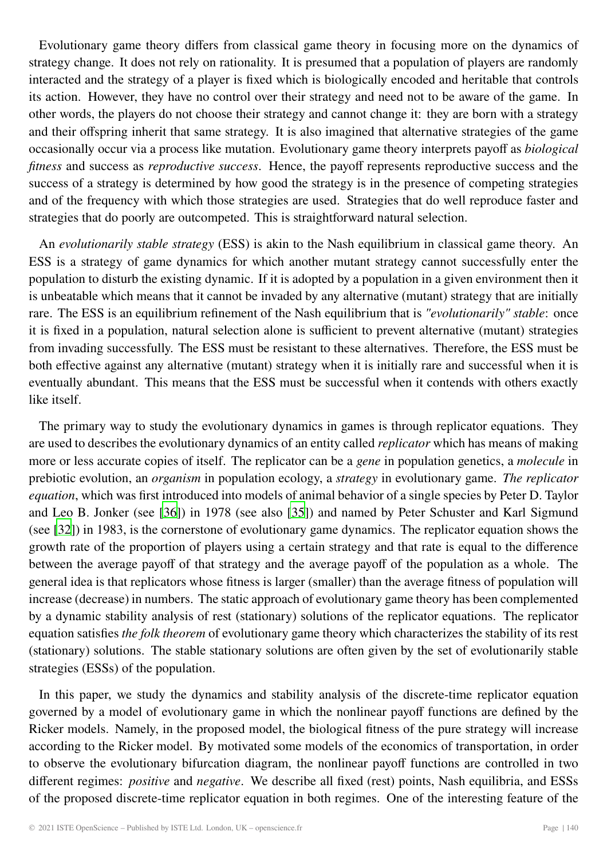<span id="page-1-0"></span>Evolutionary game theory differs from classical game theory in focusing more on the dynamics of strategy change. It does not rely on rationality. It is presumed that a population of players are randomly interacted and the strategy of a player is fixed which is biologically encoded and heritable that controls its action. However, they have no control over their strategy and need not to be aware of the game. In other words, the players do not choose their strategy and cannot change it: they are born with a strategy and their offspring inherit that same strategy. It is also imagined that alternative strategies of the game occasionally occur via a process like mutation. Evolutionary game theory interprets payoff as *biological fitness* and success as *reproductive success*. Hence, the payoff represents reproductive success and the success of a strategy is determined by how good the strategy is in the presence of competing strategies and of the frequency with which those strategies are used. Strategies that do well reproduce faster and strategies that do poorly are outcompeted. This is straightforward natural selection.

An *evolutionarily stable strategy* (ESS) is akin to the Nash equilibrium in classical game theory. An ESS is a strategy of game dynamics for which another mutant strategy cannot successfully enter the population to disturb the existing dynamic. If it is adopted by a population in a given environment then it is unbeatable which means that it cannot be invaded by any alternative (mutant) strategy that are initially rare. The ESS is an equilibrium refinement of the Nash equilibrium that is *"evolutionarily" stable*: once it is fixed in a population, natural selection alone is sufficient to prevent alternative (mutant) strategies from invading successfully. The ESS must be resistant to these alternatives. Therefore, the ESS must be both effective against any alternative (mutant) strategy when it is initially rare and successful when it is eventually abundant. This means that the ESS must be successful when it contends with others exactly like itself.

The primary way to study the evolutionary dynamics in games is through replicator equations. They are used to describes the evolutionary dynamics of an entity called *replicator* which has means of making more or less accurate copies of itself. The replicator can be a *gene* in population genetics, a *molecule* in prebiotic evolution, an *organism* in population ecology, a *strategy* in evolutionary game. *The replicator equation*, which was first introduced into models of animal behavior of a single species by Peter D. Taylor and Leo B. Jonker (see [\[36](#page-16-4)]) in 1978 (see also [\[35\]](#page-16-5)) and named by Peter Schuster and Karl Sigmund (see [\[32\]](#page-16-6)) in 1983, is the cornerstone of evolutionary game dynamics. The replicator equation shows the growth rate of the proportion of players using a certain strategy and that rate is equal to the difference between the average payoff of that strategy and the average payoff of the population as a whole. The general idea is that replicators whose fitness is larger (smaller) than the average fitness of population will increase (decrease) in numbers. The static approach of evolutionary game theory has been complemented by a dynamic stability analysis of rest (stationary) solutions of the replicator equations. The replicator equation satisfies *the folk theorem* of evolutionary game theory which characterizes the stability of its rest (stationary) solutions. The stable stationary solutions are often given by the set of evolutionarily stable strategies (ESSs) of the population.

In this paper, we study the dynamics and stability analysis of the discrete-time replicator equation governed by a model of evolutionary game in which the nonlinear payoff functions are defined by the Ricker models. Namely, in the proposed model, the biological fitness of the pure strategy will increase according to the Ricker model. By motivated some models of the economics of transportation, in order to observe the evolutionary bifurcation diagram, the nonlinear payoff functions are controlled in two different regimes: *positive* and *negative*. We describe all fixed (rest) points, Nash equilibria, and ESSs of the proposed discrete-time replicator equation in both regimes. One of the interesting feature of the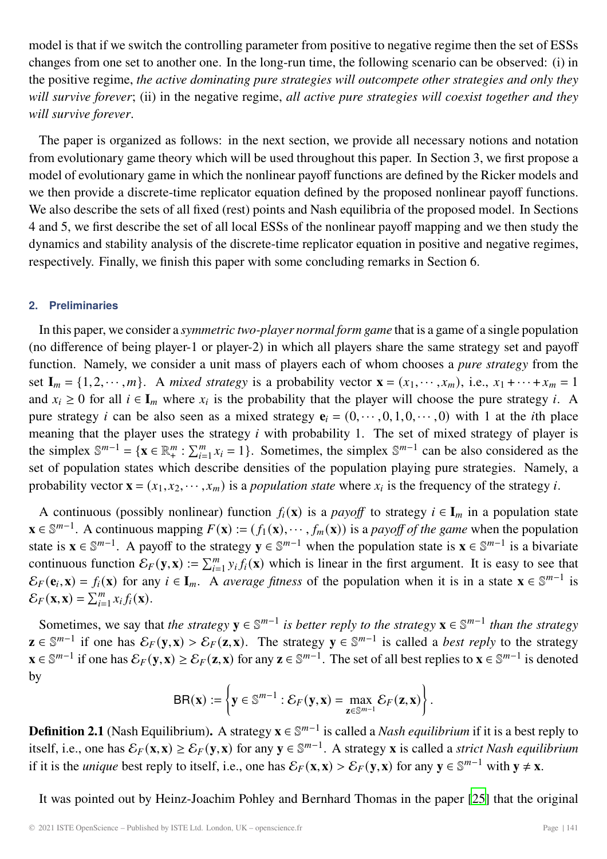<span id="page-2-0"></span>model is that if we switch the controlling parameter from positive to negative regime then the set of ESSs changes from one set to another one. In the long-run time, the following scenario can be observed: (i) in the positive regime, *the active dominating pure strategies will outcompete other strategies and only they will survive forever*; (ii) in the negative regime, *all active pure strategies will coexist together and they will survive forever*.

The paper is organized as follows: in the next section, we provide all necessary notions and notation from evolutionary game theory which will be used throughout this paper. In Section 3, we first propose a model of evolutionary game in which the nonlinear payoff functions are defined by the Ricker models and we then provide a discrete-time replicator equation defined by the proposed nonlinear payoff functions. We also describe the sets of all fixed (rest) points and Nash equilibria of the proposed model. In Sections 4 and 5, we first describe the set of all local ESSs of the nonlinear payoff mapping and we then study the dynamics and stability analysis of the discrete-time replicator equation in positive and negative regimes, respectively. Finally, we finish this paper with some concluding remarks in Section 6.

#### **2. Preliminaries**

In this paper, we consider a *symmetric two-player normal form game* that is a game of a single population (no difference of being player-1 or player-2) in which all players share the same strategy set and payoff function. Namely, we consider a unit mass of players each of whom chooses a *pure strategy* from the set  $I_m = \{1, 2, \dots, m\}$ . A *mixed strategy* is a probability vector  $\mathbf{x} = (x_1, \dots, x_m)$ , i.e.,  $x_1 + \dots + x_m = 1$ and  $x_i \geq 0$  for all  $i \in I_m$  where  $x_i$  is the probability that the player will choose the pure strategy i. A pure strategy *i* can be also seen as a mixed strategy  $\mathbf{e}_i = (0, \dots, 0, 1, 0, \dots, 0)$  with 1 at the *i*th place meaning that the player uses the strategy  $i$  with probability 1. The set of mixed strategy of player is the simplex  $\mathbb{S}^{m-1} = {\mathbf{x} \in \mathbb{R}_+^m : \sum_{i=1}^m x_i = 1}$ . Sometimes, the simplex  $\mathbb{S}^{m-1}$  can be also considered as the set of population states which describe densities of the population playing pure strategies. Namely, a probability vector  $\mathbf{x} = (x_1, x_2, \dots, x_m)$  is a *population state* where  $x_i$  is the frequency of the strategy *i*.

A continuous (possibly nonlinear) function  $f_i(\mathbf{x})$  is a *payoff* to strategy  $i \in \mathbf{I}_m$  in a population state **x** ∈  $\mathbb{S}^{m-1}$ . A continuous mapping  $F(\mathbf{x}) := (f_1(\mathbf{x}), \dots, f_m(\mathbf{x}))$  is a *payoff of the game* when the population state is  $\mathbf{x} \in \mathbb{S}^{m-1}$ . A payoff to the strategy  $\mathbf{y} \in \mathbb{S}^{m-1}$  when the population state is  $\mathbf{x} \in \mathbb{S}^{m-1}$  is a bivariate continuous function  $\mathcal{E}_F(\mathbf{y}, \mathbf{x}) := \sum_{i=1}^m y_i f_i(\mathbf{x})$  which is linear in the first argument. It is easy to see that  $\mathcal{E}_F(\mathbf{e}, \mathbf{x}) = f(\mathbf{x})$  for any  $i \in I$ , A gyarges fitness of the population when it is in a sta  $\mathcal{E}_F(\mathbf{e}_i, \mathbf{x}) = f_i(\mathbf{x})$  for any  $i \in \mathbf{I}_m$ . A *average fitness* of the population when it is in a state  $\mathbf{x} \in \mathbb{S}^{m-1}$  is  $\mathcal{E}_F(\mathbf{x}, \mathbf{x}) = \sum_{i=1}^m x_i f_i(\mathbf{x}).$ 

Sometimes, we say that *the strategy*  $y \in \mathbb{S}^{m-1}$  *is better reply to the strategy*  $x \in \mathbb{S}^{m-1}$  *than the strategy* **z** ∈  $\mathbb{S}^{m-1}$  if one has  $\mathcal{E}_F(y, \mathbf{x}) > \mathcal{E}_F(z, \mathbf{x})$ . The strategy  $\mathbf{y} \in \mathbb{S}^{m-1}$  is called a *best reply* to the strategy **x** ∈  $\mathbb{S}^{m-1}$  if one has  $\mathcal{E}_F(\mathbf{y}, \mathbf{x}) \ge \mathcal{E}_F(\mathbf{z}, \mathbf{x})$  for any  $\mathbf{z} \in \mathbb{S}^{m-1}$ . The set of all best replies to  $\mathbf{x} \in \mathbb{S}^{m-1}$  is denoted by

$$
\mathsf{BR}(\mathbf{x}) := \left\{ \mathbf{y} \in \mathbb{S}^{m-1} : \mathcal{E}_F(\mathbf{y}, \mathbf{x}) = \max_{\mathbf{z} \in \mathbb{S}^{m-1}} \mathcal{E}_F(\mathbf{z}, \mathbf{x}) \right\}.
$$

**Definition 2.1** (Nash Equilibrium). A strategy  $\mathbf{x} \in \mathbb{S}^{m-1}$  is called a *Nash equilibrium* if it is a best reply to its also  $\mathcal{E}_{\sigma}(\mathbf{x}, \mathbf{y}) \geq \mathcal{E}_{\sigma}(\mathbf{x}, \mathbf{y})$  for any  $\mathbf{x} \in \mathbb{S}^{m-1}$ . A strategy itself, i.e., one has  $\mathcal{E}_F(\mathbf{x}, \mathbf{x}) \ge \mathcal{E}_F(\mathbf{y}, \mathbf{x})$  for any **y** ∈  $\mathbb{S}^{m-1}$ . A strategy **x** is called a *strict Nash equilibrium* if it is the *unique* best reply to itself, i.e., one has  $\mathcal{E}_F(\mathbf{x}, \mathbf{x}) > \mathcal{E}_F(\mathbf{y}, \mathbf{x})$  for any  $\mathbf{y} \in \mathbb{S}^{m-1}$  with  $\mathbf{y} \neq \mathbf{x}$ .

It was pointed out by Heinz-Joachim Pohley and Bernhard Thomas in the paper [\[25\]](#page-16-7) that the original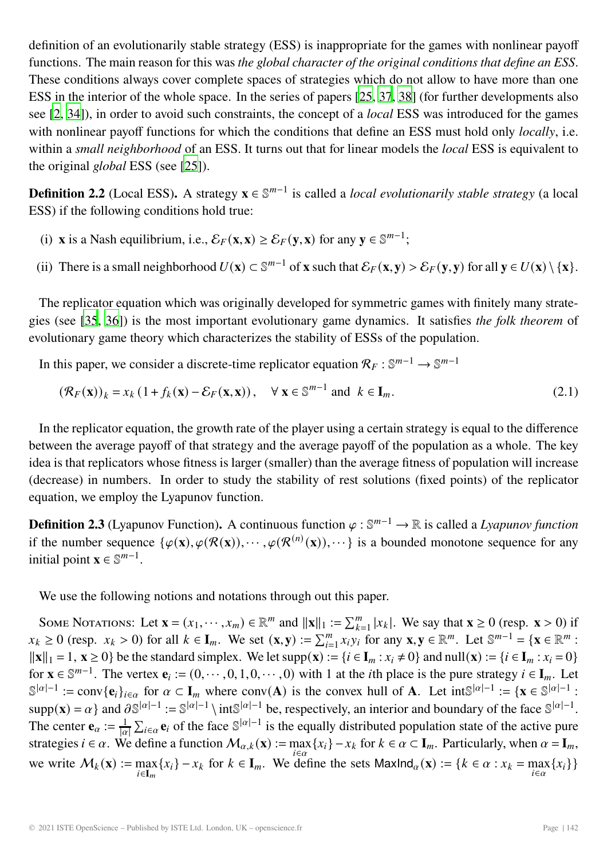<span id="page-3-2"></span>definition of an evolutionarily stable strategy (ESS) is inappropriate for the games with nonlinear payoff functions. The main reason for this was *the global character of the original conditions that define an ESS*. These conditions always cover complete spaces of strategies which do not allow to have more than one ESS in the interior of the whole space. In the series of papers [\[25](#page-16-7), [37](#page-16-8), [38\]](#page-17-2) (for further developments also see [\[2](#page-14-1), [34\]](#page-16-9)), in order to avoid such constraints, the concept of a *local* ESS was introduced for the games with nonlinear payoff functions for which the conditions that define an ESS must hold only *locally*, i.e. within a *small neighborhood* of an ESS. It turns out that for linear models the *local* ESS is equivalent to the original *global* ESS (see [\[25\]](#page-16-7)).

<span id="page-3-1"></span>**Definition 2.2** (Local ESS). A strategy  $\mathbf{x} \in \mathbb{S}^{m-1}$  is called a *local evolutionarily stable strategy* (a local ESS) if the following conditions hold true:

- (i) **x** is a Nash equilibrium, i.e.,  $\mathcal{E}_F(\mathbf{x}, \mathbf{x}) \ge \mathcal{E}_F(\mathbf{y}, \mathbf{x})$  for any  $\mathbf{v} \in \mathbb{S}^{m-1}$ ;
- (ii) There is a small neighborhood  $U(\mathbf{x}) \subset \mathbb{S}^{m-1}$  of **x** such that  $\mathcal{E}_F(\mathbf{x}, \mathbf{y}) > \mathcal{E}_F(\mathbf{y}, \mathbf{y})$  for all  $\mathbf{y} \in U(\mathbf{x}) \setminus {\mathbf{x}}$ .

The replicator equation which was originally developed for symmetric games with finitely many strategies (see [\[35](#page-16-5), [36\]](#page-16-4)) is the most important evolutionary game dynamics. It satisfies *the folk theorem* of evolutionary game theory which characterizes the stability of ESSs of the population.

In this paper, we consider a discrete-time replicator equation  $\mathcal{R}_F : \mathbb{S}^{m-1} \to \mathbb{S}^{m-1}$ 

<span id="page-3-0"></span>
$$
(\mathcal{R}_F(\mathbf{x}))_k = x_k \left(1 + f_k(\mathbf{x}) - \mathcal{E}_F(\mathbf{x}, \mathbf{x})\right), \quad \forall \mathbf{x} \in \mathbb{S}^{m-1} \text{ and } k \in \mathbf{I}_m.
$$
 (2.1)

In the replicator equation, the growth rate of the player using a certain strategy is equal to the difference between the average payoff of that strategy and the average payoff of the population as a whole. The key idea is that replicators whose fitness is larger (smaller) than the average fitness of population will increase (decrease) in numbers. In order to study the stability of rest solutions (fixed points) of the replicator equation, we employ the Lyapunov function.

**Definition 2.3** (Lyapunov Function). A continuous function  $\varphi : \mathbb{S}^{m-1} \to \mathbb{R}$  is called a *Lyapunov function* if the number sequence  $\{\varphi(\mathbf{x}), \varphi(\mathcal{R}(\mathbf{x})), \cdots, \varphi(\mathcal{R}^{(n)}(\mathbf{x})), \cdots\}$  is a bounded monotone sequence for any initial point **x**  $\in \mathbb{S}^{m-1}$ .

We use the following notions and notations through out this paper.

SOME NOTATIONS: Let  $\mathbf{x} = (x_1, \dots, x_m) \in \mathbb{R}^m$  and  $\|\mathbf{x}\|_1 := \sum_{k=1}^m |x_k|$ . We say that  $\mathbf{x} \ge 0$  (resp.  $\mathbf{x} > 0$ ) if  $\ge 0$  (resp.  $\mathbf{x} > 0$ ) for all  $k \in \mathbf{I}$ . We say the say that  $\mathbf{x} \ge 0$  (resp.  $\mathbf{x} >$  $x_k \ge 0$  (resp.  $x_k > 0$ ) for all  $k \in I_m$ . We set  $(\mathbf{x}, \mathbf{y}) := \sum_{i=1}^m x_i y_i$  for any  $\mathbf{x}, \mathbf{y} \in \mathbb{R}^m$ . Let  $\mathbb{S}^{m-1} = {\mathbf{x} \in \mathbb{R}^m : \mathbb{R}^m \setminus \mathbb{R}^m \setminus \mathbb{R}^m \setminus \mathbb{R}^m \setminus \mathbb{R}^m \setminus \mathbb{R}^m \setminus \mathbb{R}^m \setminus \$  $\|\mathbf{x}\|_1 = 1$ ,  $\mathbf{x} \ge 0$  be the standard simplex. We let supp $(\mathbf{x}) := \{i \in \mathbf{I}_m : x_i \ne 0\}$  and null $(\mathbf{x}) := \{i \in \mathbf{I}_m : x_i = 0\}$ for  $\mathbf{x} \in \mathbb{S}^{m-1}$ . The vertex  $\mathbf{e}_i := (0, \dots, 0, 1, 0, \dots, 0)$  with 1 at the *i*th place is the pure strategy  $i \in I_m$ . Let  $\mathbb{S}^{|\alpha|-1}$  := conv{ $\mathbf{e}_i$ }<sub>i $\in \alpha$ </sub> for  $\alpha \subset \mathbf{I}_m$  where conv $(\mathbf{A})$  is the convex hull of **A**. Let int $\mathbb{S}^{|\alpha|-1}$  :  $\{\mathbf{x} \in \mathbb{S}^{|\alpha|-1}\}$  $\text{supp}(\mathbf{x}) = \alpha$  and  $\frac{\partial \mathbb{S}^{|\alpha|-1}}{\alpha} := \mathbb{S}^{|\alpha|-1} \setminus \text{int}^{\alpha|-1}$  be, respectively, an interior and boundary of the face  $\mathbb{S}^{|\alpha|-1}$ . The center  $\mathbf{e}_{\alpha} := \frac{1}{|\alpha|} \sum_{i \in \alpha} \mathbf{e}_i$  of the face  $\mathbb{S}^{|\alpha|-1}$  is the equally distributed population state of the active pure<br>etratories i.e. who define a function  $M_{\alpha}(\mathbf{x}) = \max(|\mathbf{x}|)$ ,  $\mathbf{x}$ , for  $k \in \alpha \$ strategies  $i \in \alpha$ . We define a function  $\mathcal{M}_{\alpha,k}(\mathbf{x}) := \max_{i \in \alpha} \{x_i\} - x_k$  for  $k \in \alpha \subset \mathbf{I}_m$ . Particularly, when  $\alpha = \mathbf{I}_m$ , we write  $M_k(\mathbf{x}) := \max_{i \in \mathbf{I}_m} \{x_i\} - x_k$  for  $k \in \mathbf{I}_m$ . We define the sets  $\text{MaxInd}_{\alpha}(\mathbf{x}) := \{k \in \alpha : x_k = \max_{i \in \alpha} \{x_i\}\}\$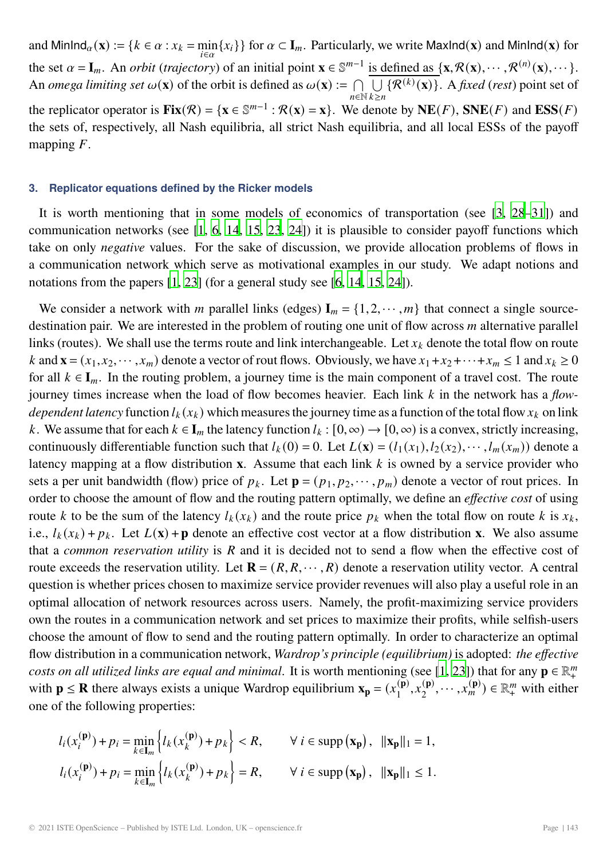<span id="page-4-0"></span>and  $\text{MinInd}_{\alpha}(\mathbf{x}) := \{ k \in \alpha : x_k = \min_{i \in \alpha} \{ x_i \} \}$  for  $\alpha \subset \mathbf{I}_m$ . Particularly, we write  $\text{MaxInd}(\mathbf{x})$  and  $\text{MinInd}(\mathbf{x})$  for the set  $\alpha = I_m$ . An *orbit* (*trajectory*) of an initial point **x**  $\in \mathbb{S}^{m-1}$  is defined as {**x**, R(**x**), ···, R<sup>(n)</sup>(**x**), ···}. An *omega limiting set*  $\omega(\mathbf{x})$  of the orbit is defined as  $\omega(\mathbf{x}) := \bigcap_{n \in \mathbb{N}} \overline{\bigcup_{k \ge n} \{R^{(k)}(\mathbf{x})\}}$ . A *fixed* (*rest*) point set of  $n \in \mathbb{N}$   $k \geq n$ the replicator operator is  $\mathbf{Fix}(\mathcal{R}) = \{\mathbf{x} \in \mathbb{S}^{m-1} : \mathcal{R}(\mathbf{x}) = \mathbf{x}\}\)$ . We denote by  $\mathbf{NE}(F)$ ,  $\mathbf{SNE}(F)$  and  $\mathbf{ESS}(F)$ the sets of, respectively, all Nash equilibria, all strict Nash equilibria, and all local ESSs of the payoff mapping  $F$ .

#### **3. Replicator equations defined by the Ricker models**

It is worth mentioning that in some models of economics of transportation (see [\[3,](#page-14-2) [28](#page-16-10)[–31](#page-16-1)]) and communication networks (see [\[1](#page-14-3), [6](#page-15-10), [14,](#page-15-11) [15](#page-15-12), [23,](#page-16-13) [24](#page-16-14)]) it is plausible to consider payoff functions which take on only *negative* values. For the sake of discussion, we provide allocation problems of flows in a communication network which serve as motivational examples in our study. We adapt notions and notations from the papers [\[1](#page-14-3), [23\]](#page-16-13) (for a general study see [\[6](#page-15-10), [14,](#page-15-11) [15,](#page-15-12) [24](#page-16-14)]).

We consider a network with *m* parallel links (edges)  $I_m = \{1, 2, \dots, m\}$  that connect a single sourcedestination pair. We are interested in the problem of routing one unit of flow across  $m$  alternative parallel links (routes). We shall use the terms route and link interchangeable. Let  $x_k$  denote the total flow on route k and  $\mathbf{x} = (x_1, x_2, \dots, x_m)$  denote a vector of rout flows. Obviously, we have  $x_1 + x_2 + \dots + x_m \leq 1$  and  $x_k \geq 0$ for all  $k \in I_m$ . In the routing problem, a journey time is the main component of a travel cost. The route journey times increase when the load of flow becomes heavier. Each link k in the network has a *flowdependent latency* function  $l_k(x_k)$  which measures the journey time as a function of the total flow  $x_k$  on link k. We assume that for each  $k \in I_m$  the latency function  $l_k : [0, \infty) \to [0, \infty)$  is a convex, strictly increasing, continuously differentiable function such that  $l_k(0) = 0$ . Let  $L(\mathbf{x}) = (l_1(x_1), l_2(x_2), \dots, l_m(x_m))$  denote a latency mapping at a flow distribution **x**. Assume that each link  $k$  is owned by a service provider who sets a per unit bandwidth (flow) price of  $p_k$ . Let  $\mathbf{p} = (p_1, p_2, \dots, p_m)$  denote a vector of rout prices. In order to choose the amount of flow and the routing pattern optimally, we define an *effective cost* of using route k to be the sum of the latency  $l_k(x_k)$  and the route price  $p_k$  when the total flow on route k is  $x_k$ , i.e.,  $l_k(x_k) + p_k$ . Let  $L(\mathbf{x}) + \mathbf{p}$  denote an effective cost vector at a flow distribution **x**. We also assume that a *common reservation utility* is  $R$  and it is decided not to send a flow when the effective cost of route exceeds the reservation utility. Let  $\mathbf{R} = (R, R, \dots, R)$  denote a reservation utility vector. A central question is whether prices chosen to maximize service provider revenues will also play a useful role in an optimal allocation of network resources across users. Namely, the profit-maximizing service providers own the routes in a communication network and set prices to maximize their profits, while selfish-users choose the amount of flow to send and the routing pattern optimally. In order to characterize an optimal flow distribution in a communication network, *Wardrop's principle (equilibrium)* is adopted: *the effective costs on all utilized links are equal and minimal.* It is worth mentioning (see [\[1](#page-14-3), [23](#page-16-13)]) that for any  $\mathbf{p} \in \mathbb{R}^m_+$ <br>with  $\mathbf{p} \leq \mathbf{P}$  there always oviets a unique Werdron conjlibrium  $\mathbf{v}_r = (x(\mathbf{p}) - (\mathbf{p})$ with **p**  $\leq$  **R** there always exists a unique Wardrop equilibrium  $\mathbf{x_p} = (x_1^{(\mathbf{p})}, x_2^{(\mathbf{p})}, \dots, x_m^{(\mathbf{p})}) \in \mathbb{R}_+^m$  with either one of the following properties:

$$
l_i(x_i^{(\mathbf{p})}) + p_i = \min_{k \in \mathbf{I}_m} \left\{ l_k(x_k^{(\mathbf{p})}) + p_k \right\} < R, \qquad \forall \ i \in \text{supp} \left( \mathbf{x}_\mathbf{p} \right), \ \|\mathbf{x}_\mathbf{p}\|_1 = 1,
$$
\n
$$
l_i(x_i^{(\mathbf{p})}) + p_i = \min_{k \in \mathbf{I}_m} \left\{ l_k(x_k^{(\mathbf{p})}) + p_k \right\} = R, \qquad \forall \ i \in \text{supp} \left( \mathbf{x}_\mathbf{p} \right), \ \|\mathbf{x}_\mathbf{p}\|_1 \le 1.
$$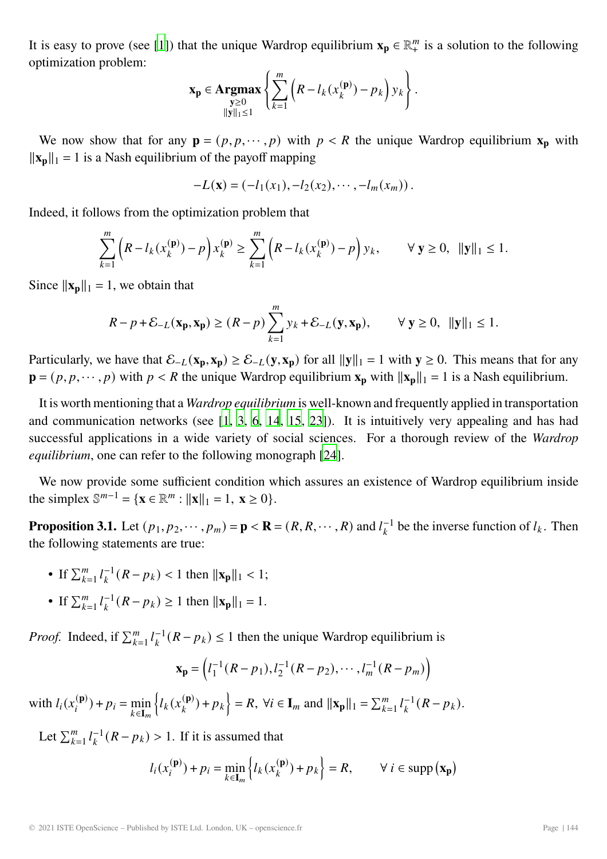<span id="page-5-0"></span>It is easy to prove (see [\[1\]](#page-14-3)) that the unique Wardrop equilibrium  $\mathbf{x_p} \in \mathbb{R}_+^m$  is a solution to the following optimization problem: optimization problem:

$$
\mathbf{x}_{\mathbf{p}} \in \underset{\|\mathbf{y}\|_{1} \leq 1}{\operatorname{argmax}} \left\{ \sum_{k=1}^{m} \left( R - l_{k}(x_{k}^{(\mathbf{p})}) - p_{k} \right) y_{k} \right\}.
$$

We now show that for any  $\mathbf{p} = (p, p, \dots, p)$  with  $p < R$  the unique Wardrop equilibrium  $\mathbf{x}_p$  with  $\|\mathbf{x}_p\|_1 = 1$  is a Nash equilibrium of the payoff mapping

$$
-L(\mathbf{x}) = (-l_1(x_1), -l_2(x_2), \cdots, -l_m(x_m)).
$$

Indeed, it follows from the optimization problem that

$$
\sum_{k=1}^{m} \left( R - l_k(x_k^{(\mathbf{p})}) - p \right) x_k^{(\mathbf{p})} \ge \sum_{k=1}^{m} \left( R - l_k(x_k^{(\mathbf{p})}) - p \right) y_k, \qquad \forall \mathbf{y} \ge 0, \ \|\mathbf{y}\|_1 \le 1.
$$

Since  $\|\mathbf{x_p}\|_1 = 1$ , we obtain that

$$
R-p+\mathcal{E}_{-L}(\mathbf{x}_p,\mathbf{x}_p) \ge (R-p)\sum_{k=1}^m y_k + \mathcal{E}_{-L}(\mathbf{y},\mathbf{x}_p), \qquad \forall \mathbf{y} \ge 0, \ \|\mathbf{y}\|_1 \le 1.
$$

Particularly, we have that  $\mathcal{E}_{-L}(\mathbf{x}_p, \mathbf{x}_p) \ge \mathcal{E}_{-L}(\mathbf{y}, \mathbf{x}_p)$  for all  $||\mathbf{y}||_1 = 1$  with  $\mathbf{y} \ge 0$ . This means that for any  $\mathbf{p} = (p, p, \dots, p)$  with  $p \le R$  the unique Wardrop equilibrium  $\mathbf{x_p}$  with  $\|\mathbf{x_p}\|_1 = 1$  is a Nash equilibrium.

It is worth mentioning that a *Wardrop equilibrium* is well-known and frequently applied in transportation and communication networks (see [\[1](#page-14-3), [3](#page-14-2), [6,](#page-15-10) [14,](#page-15-11) [15,](#page-15-12) [23](#page-16-13)]). It is intuitively very appealing and has had successful applications in a wide variety of social sciences. For a thorough review of the *Wardrop equilibrium*, one can refer to the following monograph [\[24](#page-16-14)].

We now provide some sufficient condition which assures an existence of Wardrop equilibrium inside the simplex  $\mathbb{S}^{m-1} = {\mathbf{x} \in \mathbb{R}^m : ||\mathbf{x}||_1 = 1, \mathbf{x} \ge 0}.$ 

**Proposition 3.1.** Let  $(p_1, p_2, \dots, p_m) = \mathbf{p} < \mathbf{R} = (R, R, \dots, R)$  and  $l_k^{-1}$  be the inverse function of  $l_k$ . Then the following statements are true: the following statements are true:

- If  $\sum_{k=1}^{m} l_k^{-1} (R p_k) < 1$  then  $||\mathbf{x}_p||_1 < 1$ ;
- If  $\sum_{k=1}^{m} l_k^{-1} (R p_k) \ge 1$  then  $||\mathbf{x}_p||_1 = 1$ .

*Proof.* Indeed, if  $\sum_{k=1}^{m} l_k^{-1} (R - p_k) \le 1$  then the unique Wardrop equilibrium is

$$
\mathbf{x}_{p} = (l_1^{-1}(R - p_1), l_2^{-1}(R - p_2), \cdots, l_m^{-1}(R - p_m))
$$

with  $l_i(x_i^{(p)}) + p_i = \min_{k \in \mathbb{I}_m}$  $k \in I_m$  $\left\{ l_k(x_k^{(\mathbf{p})}) + p_k \right\}$  $\Big\} = R, \ \forall i \in \mathbf{I}_m \text{ and } ||\mathbf{x_p}||_1 = \sum_{k=1}^m l_k^{-1} (R - p_k).$ 

Let  $\sum_{k=1}^{m} l_k^{-1} (R - p_k) > 1$ . If it is assumed that

$$
l_i(x_i^{(\mathbf{p})}) + p_i = \min_{k \in \mathbf{I}_m} \left\{ l_k(x_k^{(\mathbf{p})}) + p_k \right\} = R, \qquad \forall \ i \in \text{supp} (\mathbf{x}_\mathbf{p})
$$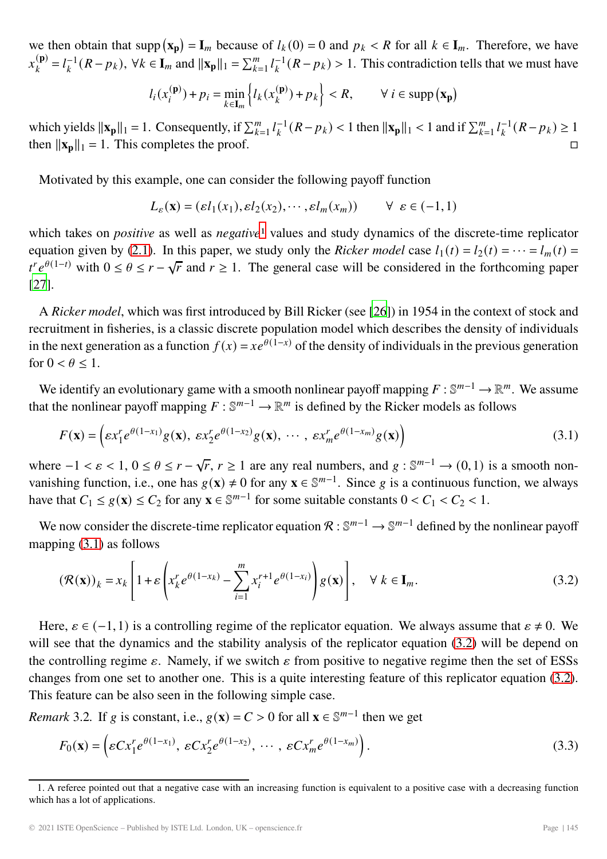<span id="page-6-3"></span>we then obtain that  $\text{supp}(\mathbf{x}_p) = \mathbf{I}_m$  because of  $l_k(0) = 0$  and  $p_k < R$  for all  $k \in \mathbf{I}_m$ . Therefore, we have  $x_k^{(\mathbf{p})} = l_k^{-1}(R - p_k)$ ,  $\forall k \in \mathbf{I}_m$  and  $\|\mathbf{x}_\mathbf{p}\|_1 = \sum_{k=1}^m l_k^{-1}(R - p_k) > 1$ . This contradiction tells that we must have

$$
l_i(x_i^{(\mathbf{p})}) + p_i = \min_{k \in \mathbf{I}_m} \left\{ l_k(x_k^{(\mathbf{p})}) + p_k \right\} < R, \qquad \forall \ i \in \text{supp} \left( \mathbf{x}_\mathbf{p} \right)
$$

which yields  $\|\mathbf{x}_p\|_1 = 1$ . Consequently, if  $\sum_{k=1}^m l_k^{-1}(R - p_k) < 1$  then  $\|\mathbf{x}_p\|_1 < 1$  and if  $\sum_{k=1}^m l_k^{-1}(R - p_k) \ge 1$ <br>then  $\|\mathbf{x}_p\|_1 = 1$ . This completes the proof. then  $\|\mathbf{x}_p\|_1 = 1$ . This completes the proof.

Motivated by this example, one can consider the following payoff function

<span id="page-6-1"></span>
$$
L_{\varepsilon}(\mathbf{x}) = (\varepsilon l_1(x_1), \varepsilon l_2(x_2), \cdots, \varepsilon l_m(x_m)) \qquad \forall \varepsilon \in (-1, 1)
$$

which takes on *positive* as well as *negative*<sup>[1](#page-6-0)</sup> values and study dynamics of the discrete-time replicator equation given by [\(2.1\)](#page-3-0). In this paper, we study only the *Ricker model* case  $l_1(t) = l_2(t) = \cdots = l_m(t)$  $(t^n e^{\theta(1-t)})$  with  $0 \le \theta \le r - \sqrt{r}$  and  $r \ge 1$ . The general case will be considered in the forthcoming paper [\[27\]](#page-16-15).

A *Ricker model*, which was first introduced by Bill Ricker (see [\[26\]](#page-16-16)) in 1954 in the context of stock and recruitment in fisheries, is a classic discrete population model which describes the density of individuals in the next generation as a function  $f(x) = xe^{\theta(1-x)}$  of the density of individuals in the previous generation for  $0 < \theta < 1$ .

We identify an evolutionary game with a smooth nonlinear payoff mapping  $F : \mathbb{S}^{m-1} \to \mathbb{R}^m$ . We assume that the nonlinear payoff mapping  $F : \mathbb{S}^{m-1} \to \mathbb{R}^m$  is defined by the Ricker models as follows

$$
F(\mathbf{x}) = \left(\varepsilon x_1^r e^{\theta(1-x_1)} g(\mathbf{x}), \ \varepsilon x_2^r e^{\theta(1-x_2)} g(\mathbf{x}), \ \cdots, \ \varepsilon x_m^r e^{\theta(1-x_m)} g(\mathbf{x})\right)
$$
(3.1)

where  $-1 < \varepsilon < 1$ ,  $0 \le \theta \le r - \sqrt{r}$ ,  $r \ge 1$  are any real numbers, and  $g : \mathbb{S}^{m-1} \to (0,1)$  is a smooth nonvanishing function, i.e., one has  $g(\mathbf{x}) \neq 0$  for any  $\mathbf{x} \in \mathbb{S}^{m-1}$ . Since g is a continuous function, we always have that  $C_1 \le g(\mathbf{x}) \le C_2$  for any  $\mathbf{x} \in \mathbb{S}^{m-1}$  for some suitable constants  $0 < C_1 < C_2 < 1$ .

We now consider the discrete-time replicator equation  $\mathcal{R}: \mathbb{S}^{m-1} \to \mathbb{S}^{m-1}$  defined by the nonlinear payoff mapping [\(3.1\)](#page-6-1) as follows

<span id="page-6-2"></span>
$$
\left(\mathcal{R}(\mathbf{x})\right)_k = x_k \left[1 + \varepsilon \left(x_k^r e^{\theta(1-x_k)} - \sum_{i=1}^m x_i^{r+1} e^{\theta(1-x_i)}\right) g(\mathbf{x})\right], \quad \forall \ k \in \mathbf{I}_m.
$$
\n(3.2)

Here,  $\varepsilon \in (-1,1)$  is a controlling regime of the replicator equation. We always assume that  $\varepsilon \neq 0$ . We will see that the dynamics and the stability analysis of the replicator equation [\(3.2\)](#page-6-2) will be depend on the controlling regime  $\varepsilon$ . Namely, if we switch  $\varepsilon$  from positive to negative regime then the set of ESSs changes from one set to another one. This is a quite interesting feature of this replicator equation [\(3.2\)](#page-6-2). This feature can be also seen in the following simple case.

*Remark* 3.2*.* If *g* is constant, i.e.,  $g(\mathbf{x}) = C > 0$  for all  $\mathbf{x} \in \mathbb{S}^{m-1}$  then we get

$$
F_0(\mathbf{x}) = \left( \varepsilon C x_1^r e^{\theta(1-x_1)}, \ \varepsilon C x_2^r e^{\theta(1-x_2)}, \ \cdots, \ \varepsilon C x_m^r e^{\theta(1-x_m)} \right). \tag{3.3}
$$

<span id="page-6-0"></span><sup>1.</sup> A referee pointed out that a negative case with an increasing function is equivalent to a positive case with a decreasing function which has a lot of applications.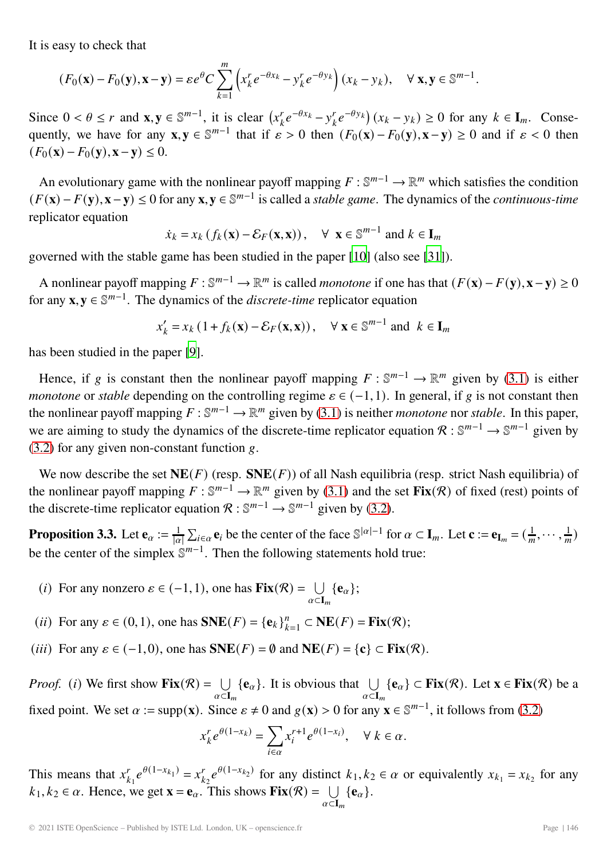<span id="page-7-1"></span>It is easy to check that

$$
(F_0(\mathbf{x}) - F_0(\mathbf{y}), \mathbf{x} - \mathbf{y}) = \varepsilon e^{\theta} C \sum_{k=1}^m \left( x_k^r e^{-\theta x_k} - y_k^r e^{-\theta y_k} \right) (x_k - y_k), \quad \forall \mathbf{x}, \mathbf{y} \in \mathbb{S}^{m-1}.
$$

Since  $0 < \theta \le r$  and  $\mathbf{x}, \mathbf{y} \in \mathbb{S}^{m-1}$ , it is clear  $\left(x_k^r e^{-\theta x_k} - y_k^r e^{-\theta y_k}\right)(x_k - y_k) \ge 0$  for any  $k \in I_m$ . Consequently, we have for any **x**,  $\mathbf{y} \in \mathbb{S}^{m-1}$  that if  $\varepsilon > 0$  then  $(F_0(\mathbf{x}) - F_0(\mathbf{y}), \mathbf{x} - \mathbf{y}) \ge 0$  and if  $\varepsilon < 0$  then  $(F_0(\mathbf{x}) - F_0(\mathbf{v}), \mathbf{x} - \mathbf{v}) \leq 0.$ 

An evolutionary game with the nonlinear payoff mapping  $F : \mathbb{S}^{m-1} \to \mathbb{R}^m$  which satisfies the condition  $(F(\mathbf{x}) - F(\mathbf{y}), \mathbf{x} - \mathbf{y}) \le 0$  for any  $\mathbf{x}, \mathbf{y} \in \mathbb{S}^{m-1}$  is called a *stable game*. The dynamics of the *continuous-time* replicator equation

$$
\dot{x}_k = x_k (f_k(\mathbf{x}) - \mathcal{E}_F(\mathbf{x}, \mathbf{x})), \quad \forall \mathbf{x} \in \mathbb{S}^{m-1} \text{ and } k \in \mathbf{I}_m
$$

governed with the stable game has been studied in the paper [\[10](#page-15-13)] (also see [\[31](#page-16-1)]).

A nonlinear payoff mapping  $F : \mathbb{S}^{m-1} \to \mathbb{R}^m$  is called *monotone* if one has that  $(F(\mathbf{x}) - F(\mathbf{y}), \mathbf{x} - \mathbf{y}) \ge 0$ for any  $\mathbf{x}, \mathbf{y} \in \mathbb{S}^{m-1}$ . The dynamics of the *discrete-time* replicator equation

$$
x'_{k} = x_{k} \left( 1 + f_{k}(\mathbf{x}) - \mathcal{E}_{F}(\mathbf{x}, \mathbf{x}) \right), \quad \forall \ \mathbf{x} \in \mathbb{S}^{m-1} \text{ and } k \in \mathbf{I}_{m}
$$

has been studied in the paper [\[9](#page-15-14)].

Hence, if g is constant then the nonlinear payoff mapping  $F : \mathbb{S}^{m-1} \to \mathbb{R}^m$  given by [\(3.1\)](#page-6-1) is either *monotone* or *stable* depending on the controlling regime  $\varepsilon \in (-1,1)$ . In general, if g is not constant then the nonlinear payoff mapping  $F : \mathbb{S}^{m-1} \to \mathbb{R}^m$  given by [\(3.1\)](#page-6-1) is neither *monotone* nor *stable*. In this paper, we are aiming to study the dynamics of the discrete-time replicator equation  $\mathcal{R}: \mathbb{S}^{m-1} \to \mathbb{S}^{m-1}$  given by  $(3.2)$  for any given non-constant function g.

We now describe the set  $NE(F)$  (resp.  $SNE(F)$ ) of all Nash equilibria (resp. strict Nash equilibria) of the nonlinear payoff mapping  $F : \mathbb{S}^{m-1} \to \mathbb{R}^m$  given by [\(3.1\)](#page-6-1) and the set  $\text{Fix}(\mathcal{R})$  of fixed (rest) points of the discrete-time replicator equation  $\mathcal{R}: \mathbb{S}^{m-1} \to \mathbb{S}^{m-1}$  given by [\(3.2\)](#page-6-2).

<span id="page-7-0"></span>**Proposition 3.3.** Let  $\mathbf{e}_{\alpha} := \frac{1}{|\alpha|} \sum_{i \in \alpha} \mathbf{e}_i$  be the center of the face  $\mathbb{S}^{|\alpha|-1}$  for  $\alpha \subset \mathbf{I}_m$ . Let  $\mathbf{c} := \mathbf{e}_{\mathbf{I}_m} = (\frac{1}{m}, \cdots, \frac{1}{m})$ be the center of the simplex  $\mathbb{S}^{m-1}$ . Then the following statements hold true:

- (*i*) For any nonzero  $\varepsilon \in (-1, 1)$ , one has  $\textbf{Fix}(\mathcal{R}) = \bigcup_{\alpha \in \mathbf{I}_m} {\{\mathbf{e}_{\alpha}\}};$
- (*ii*) For any  $\varepsilon \in (0,1)$ , one has  $SNE(F) = {\mathbf{e}_k}_{k=1}^n \subset NE(F) = \mathbf{Fix}(R)$ ;
- (*iii*) For any  $\varepsilon \in (-1,0)$ , one has  $SNE(F) = \emptyset$  and  $NE(F) = \{c\} \subset Fix(\mathcal{R})$ .

*Proof.* (*i*) We first show  $\textbf{Fix}(\mathcal{R}) = \bigcup_{\alpha \in \mathbf{I}_m} \{\mathbf{e}_\alpha\}$ . It is obvious that  $\bigcup_{\alpha \in \mathbf{I}_m} \{\mathbf{e}_\alpha\} \subset \textbf{Fix}(\mathcal{R})$ . Let  $\mathbf{x} \in \textbf{Fix}(\mathcal{R})$  be a  $\bigcup_{\alpha \in \mathbf{I}_m} \{\mathbf{e}_\alpha\} \subset \textbf{Fix}(\mathcal{R})$ . Let  $\mathbf$ fixed point. We set  $\alpha := \text{supp}(\mathbf{x})$ . Since  $\varepsilon \neq 0$  and  $g(\mathbf{x}) > 0$  for any  $\mathbf{x} \in \mathbb{S}^{m-1}$ , it follows from [\(3.2\)](#page-6-2)

$$
x_k^r e^{\theta(1-x_k)} = \sum_{i \in \alpha} x_i^{r+1} e^{\theta(1-x_i)}, \quad \forall \ k \in \alpha.
$$

This means that  $x_{k_1}^r e^{\theta(1-x_{k_1})} = x_{k_2}^r e^{\theta(1-x_{k_2})}$  for any distinct  $k_1, k_2 \in \alpha$  or equivalently  $x_{k_1} = x_{k_2}$  for any  $k_1, k_2 \in \alpha$ . Hence, we get  $\mathbf{x} = \mathbf{e}_{\alpha}$ . This shows  $\mathbf{Fix}(\mathcal{R}) = \bigcup_{\alpha \in \mathbf{I}_m} {\{\mathbf{e}_{\alpha}\}}$ .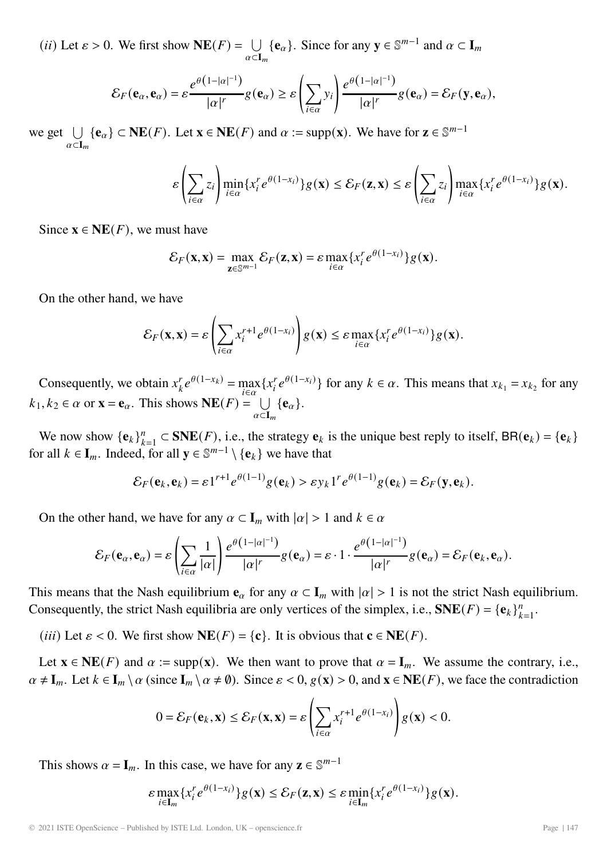(*ii*) Let  $\varepsilon > 0$ . We first show  $NE(F) = \bigcup_{\alpha \subset I_m} {\{e_{\alpha}\}}$ . Since for any  $y \in \mathbb{S}^{m-1}$  and  $\alpha \subset I_m$  $\alpha$ ⊂**I**<sub>m</sub>

$$
\mathcal{E}_F(\mathbf{e}_\alpha,\mathbf{e}_\alpha)=\varepsilon\frac{e^{\theta(1-|\alpha|^{-1})}}{|\alpha|^r}g(\mathbf{e}_\alpha)\geq \varepsilon\left(\sum_{i\in\alpha}y_i\right)\frac{e^{\theta(1-|\alpha|^{-1})}}{|\alpha|^r}g(\mathbf{e}_\alpha)=\mathcal{E}_F(\mathbf{y},\mathbf{e}_\alpha),
$$

we get  $\cup$  $\bigcup_{\alpha \subset \mathbf{I}_m} {\mathbf{e}_{\alpha}}$  ⊂ **NE**(*F*). Let **x** ∈ **NE**(*F*) and  $\alpha := \text{supp}(\mathbf{x})$ . We have for **z** ∈ S<sup>*m*-1</sup>

$$
\varepsilon\left(\sum_{i\in\alpha}z_i\right)\min_{i\in\alpha}\{x_i^re^{\theta(1-x_i)}\}g(\mathbf{x})\leq \mathcal{E}_F(\mathbf{z},\mathbf{x})\leq \varepsilon\left(\sum_{i\in\alpha}z_i\right)\max_{i\in\alpha}\{x_i^re^{\theta(1-x_i)}\}g(\mathbf{x}).
$$

Since  $\mathbf{x} \in \mathbf{NE}(F)$ , we must have

$$
\mathcal{E}_F(\mathbf{x}, \mathbf{x}) = \max_{\mathbf{z} \in \mathbb{S}^{m-1}} \mathcal{E}_F(\mathbf{z}, \mathbf{x}) = \varepsilon \max_{i \in \alpha} \{x_i^r e^{\theta(1-x_i)}\} g(\mathbf{x}).
$$

On the other hand, we have

$$
\mathcal{E}_F(\mathbf{x}, \mathbf{x}) = \varepsilon \left( \sum_{i \in \alpha} x_i^{r+1} e^{\theta(1-x_i)} \right) g(\mathbf{x}) \leq \varepsilon \max_{i \in \alpha} \{ x_i^r e^{\theta(1-x_i)} \} g(\mathbf{x}).
$$

Consequently, we obtain  $x_k^r e^{\theta(1-x_k)} = \max_{i \in \alpha} \{x_i^r e^{\theta(1-x_i)}\}$  for any  $k \in \alpha$ . This means that  $x_{k_1} = x_{k_2}$  for any  $k_1, k_2 \in \alpha$  or  $\mathbf{x} = \mathbf{e}_{\alpha}$ . This shows  $\mathbf{NE}(F) = \bigcup_{\alpha \in \mathbf{I}_m} {\{\mathbf{e}_{\alpha}\}}$ .

We now show  ${\{\mathbf{e}_k\}}_{k=1}^n \subset \mathbf{SNE}(F)$ , i.e., the strategy  $\mathbf{e}_k$  is the unique best reply to itself,  $\mathbf{BR}(\mathbf{e}_k) = {\{\mathbf{e}_k\}}$ for all  $k \in I_m$ . Indeed, for all  $y \in \mathbb{S}^{m-1} \setminus \{e_k\}$  we have that

$$
\mathcal{E}_F(\mathbf{e}_k,\mathbf{e}_k)=\varepsilon 1^{r+1}e^{\theta(1-1)}g(\mathbf{e}_k)>\varepsilon y_k 1^r e^{\theta(1-1)}g(\mathbf{e}_k)=\mathcal{E}_F(\mathbf{y},\mathbf{e}_k).
$$

On the other hand, we have for any  $\alpha \subset I_m$  with  $|\alpha| > 1$  and  $k \in \alpha$ 

$$
\mathcal{E}_F(\mathbf{e}_\alpha,\mathbf{e}_\alpha)=\varepsilon\left(\sum_{i\in\alpha}\frac{1}{|\alpha|}\right)\frac{e^{\theta\left(1-|\alpha|^{-1}\right)}}{|\alpha|^r}g(\mathbf{e}_\alpha)=\varepsilon\cdot1\cdot\frac{e^{\theta\left(1-|\alpha|^{-1}\right)}}{|\alpha|^r}g(\mathbf{e}_\alpha)=\mathcal{E}_F(\mathbf{e}_k,\mathbf{e}_\alpha).
$$

This means that the Nash equilibrium  $\mathbf{e}_{\alpha}$  for any  $\alpha \subset \mathbf{I}_m$  with  $|\alpha| > 1$  is not the strict Nash equilibrium. Consequently, the strict Nash equilibria are only vertices of the simplex, i.e.,  $SNE(F) = {\mathbf{e}_k}_{k=1}^n$ .

(*iii*) Let  $\varepsilon$  < 0. We first show **NE**(*F*) = {**c**}. It is obvious that **c**  $\in$  **NE**(*F*).

Let  $\mathbf{x} \in \mathbf{NE}(F)$  and  $\alpha := \text{supp}(\mathbf{x})$ . We then want to prove that  $\alpha = \mathbf{I}_m$ . We assume the contrary, i.e.,  $\alpha \neq I_m$ . Let  $k \in I_m \setminus \alpha$  (since  $I_m \setminus \alpha \neq \emptyset$ ). Since  $\varepsilon < 0$ ,  $g(\mathbf{x}) > 0$ , and  $\mathbf{x} \in \mathbf{NE}(F)$ , we face the contradiction

$$
0 = \mathcal{E}_F(\mathbf{e}_k, \mathbf{x}) \le \mathcal{E}_F(\mathbf{x}, \mathbf{x}) = \varepsilon \left( \sum_{i \in \alpha} x_i^{r+1} e^{\theta(1-x_i)} \right) g(\mathbf{x}) < 0.
$$

This shows  $\alpha = I_m$ . In this case, we have for any **z** ∈  $\mathbb{S}^{m-1}$ 

$$
\varepsilon \max_{i \in \mathbf{I}_m} \{x_i^r e^{\theta(1-x_i)}\} g(\mathbf{x}) \leq \mathcal{E}_F(\mathbf{z}, \mathbf{x}) \leq \varepsilon \min_{i \in \mathbf{I}_m} \{x_i^r e^{\theta(1-x_i)}\} g(\mathbf{x}).
$$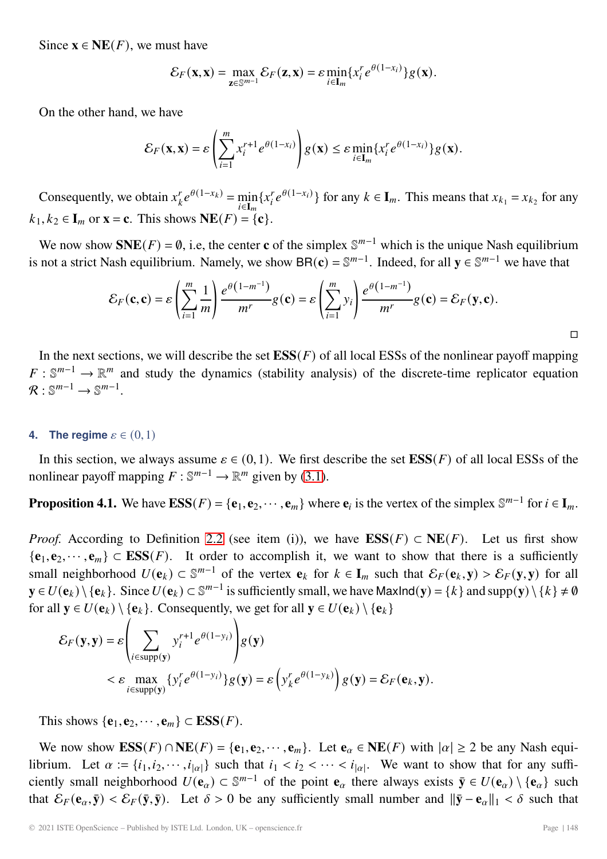Since  $\mathbf{x} \in \textbf{NE}(F)$ , we must have

$$
\mathcal{E}_F(\mathbf{x}, \mathbf{x}) = \max_{\mathbf{z} \in \mathbb{S}^{m-1}} \mathcal{E}_F(\mathbf{z}, \mathbf{x}) = \varepsilon \min_{i \in \mathbf{I}_m} \{x_i^r e^{\theta(1-x_i)}\} g(\mathbf{x}).
$$

On the other hand, we have

$$
\mathcal{E}_F(\mathbf{x}, \mathbf{x}) = \varepsilon \left( \sum_{i=1}^m x_i^{r+1} e^{\theta(1-x_i)} \right) g(\mathbf{x}) \leq \varepsilon \min_{i \in \mathbf{I}_m} \{ x_i^r e^{\theta(1-x_i)} \} g(\mathbf{x}).
$$

Consequently, we obtain  $x_k^r e^{\theta(1-x_k)} = \min_{i \in I_m} \{x_i^r e^{\theta(1-x_i)}\}$  for any  $k \in I_m$ . This means that  $x_{k_1} = x_{k_2}$  for any  $i \in I_m$ <br>
– ∫  $k_1, k_2 \in \mathbf{I}_m$  or  $\mathbf{x} = \mathbf{c}$ . This shows  $\mathbf{NE}(F) = \{\mathbf{c}\}.$ 

We now show  $SNE(F) = \emptyset$ , i.e, the center **c** of the simplex  $\mathbb{S}^{m-1}$  which is the unique Nash equilibrium is not a strict Nash equilibrium. Namely, we show BR( $\mathbf{c}$ ) =  $\mathbb{S}^{m-1}$ . Indeed, for all  $\mathbf{y} \in \mathbb{S}^{m-1}$  we have that

$$
\mathcal{E}_F(\mathbf{c}, \mathbf{c}) = \varepsilon \left( \sum_{i=1}^m \frac{1}{m} \right) \frac{e^{\theta (1 - m^{-1})}}{m^r} g(\mathbf{c}) = \varepsilon \left( \sum_{i=1}^m y_i \right) \frac{e^{\theta (1 - m^{-1})}}{m^r} g(\mathbf{c}) = \mathcal{E}_F(\mathbf{y}, \mathbf{c}).
$$

In the next sections, we will describe the set  $\mathbf{ESS}(F)$  of all local ESSs of the nonlinear payoff mapping  $F: \mathbb{S}^{m-1} \to \mathbb{R}^m$  and study the dynamics (stability analysis) of the discrete-time replicator equation  $\mathcal{R} : \mathbb{S}^{m-1} \longrightarrow \mathbb{S}^{m-1}$ .

#### **4.** The regime  $\varepsilon \in (0,1)$

In this section, we always assume  $\varepsilon \in (0,1)$ . We first describe the set  $\mathbf{ESS}(F)$  of all local ESSs of the nonlinear payoff mapping  $F : \mathbb{S}^{m-1} \to \mathbb{R}^m$  given by [\(3.1\)](#page-6-1).

**Proposition 4.1.** We have  $\text{ESS}(F) = {\bf e}_1, {\bf e}_2, \dots, {\bf e}_m$  where  ${\bf e}_i$  is the vertex of the simplex  $\mathbb{S}^{m-1}$  for  $i \in I_m$ .

*Proof.* According to Definition [2.2](#page-3-1) (see item (i)), we have  $ESS(F) \subset NE(F)$ . Let us first show  ${\bf e}_1, {\bf e}_2, \dots, {\bf e}_m$  ⊂ **ESS**(*F*). It order to accomplish it, we want to show that there is a sufficiently small neighborhood  $U(\mathbf{e}_k) \subset \mathbb{S}^{m-1}$  of the vertex  $\mathbf{e}_k$  for  $k \in \mathbf{I}_m$  such that  $\mathcal{E}_F(\mathbf{e}_k, \mathbf{y}) > \mathcal{E}_F(\mathbf{y}, \mathbf{y})$  for all **y** ∈  $U(\mathbf{e}_k) \setminus {\{\mathbf{e}_k\}}$ . Since  $U(\mathbf{e}_k) \subset \mathbb{S}^{m-1}$  is sufficiently small, we have MaxInd(**y**) = { $k$ } and supp(**y**) \{ $k$ } ≠ Ø for all  $y \in U(\mathbf{e}_k) \setminus {\{\mathbf{e}_k\}}$ . Consequently, we get for all  $y \in U(\mathbf{e}_k) \setminus {\{\mathbf{e}_k\}}$ 

$$
\mathcal{E}_F(\mathbf{y}, \mathbf{y}) = \varepsilon \left( \sum_{i \in \text{supp}(\mathbf{y})} y_i^{r+1} e^{\theta(1-y_i)} \right) g(\mathbf{y})
$$
  
<  $\varepsilon \sum_{i \in \text{supp}(\mathbf{y})} \{y_i^r e^{\theta(1-y_i)}\} g(\mathbf{y}) = \varepsilon \left( y_k^r e^{\theta(1-y_k)} \right) g(\mathbf{y}) = \mathcal{E}_F(\mathbf{e}_k, \mathbf{y}).$ 

This shows  $\{e_1, e_2, \cdots, e_m\} \subset \text{ESS}(F)$ .

We now show  $\mathbf{ESS}(F) \cap \mathbf{NE}(F) = \{\mathbf{e}_1, \mathbf{e}_2, \cdots, \mathbf{e}_m\}$ . Let  $\mathbf{e}_{\alpha} \in \mathbf{NE}(F)$  with  $|\alpha| \geq 2$  be any Nash equilibrium. Let  $\alpha := \{i_1, i_2, \dots, i_{|\alpha|}\}$  such that  $i_1 < i_2 < \dots < i_{|\alpha|}$ . We want to show that for any sufficiently small neighborhood  $U(\mathbf{e}_{\alpha}) \subset \mathbb{S}^{m-1}$  of the point  $\mathbf{e}_{\alpha}$  there always exists  $\bar{\mathbf{y}} \in U(\mathbf{e}_{\alpha}) \setminus \{\mathbf{e}_{\alpha}\}\$  such that  $\mathcal{E}_F(\mathbf{e}_\alpha, \bar{\mathbf{y}}) < \mathcal{E}_F(\bar{\mathbf{y}}, \bar{\mathbf{y}})$ . Let  $\delta > 0$  be any sufficiently small number and  $\|\bar{\mathbf{y}} - \mathbf{e}_\alpha\|_1 < \delta$  such that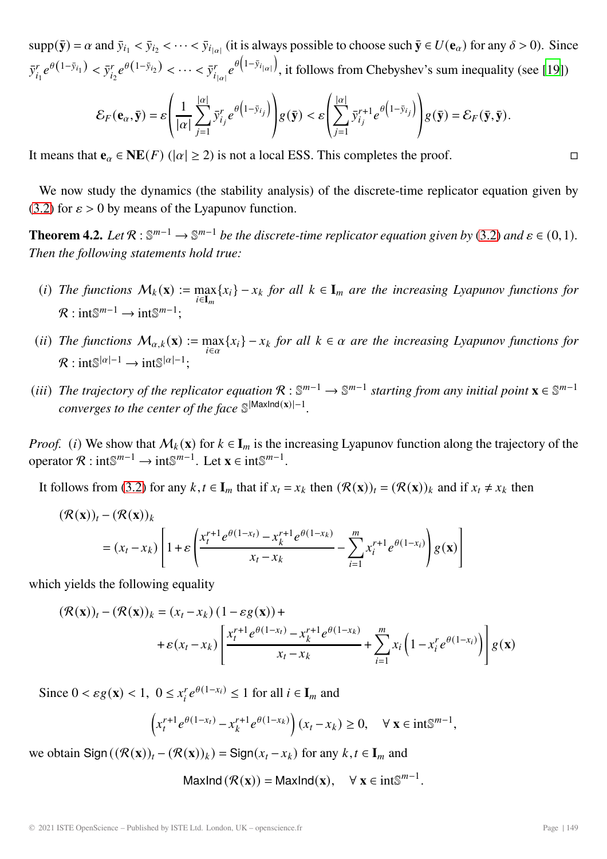<span id="page-10-1"></span> $supp(\bar{y}) = \alpha$  and  $\bar{y}_{i_1} < \bar{y}_{i_2} < \cdots < \bar{y}_{i_{|\alpha|}}$  (it is always possible to choose such  $\bar{y} \in U(\mathbf{e}_{\alpha})$  for any  $\delta > 0$ ). Since  $\bar{y}_{i_1}^r e^{\theta(1-\bar{y}_{i_1})} < \bar{y}_{i_2}^r e^{\theta(1-\bar{y}_{i_2})} < \cdots < \bar{y}_{i_{|\alpha|}}^r e^{\theta(1-\bar{y}_{i_{|\alpha|}})}$ , it follows from Chebyshev's sum inequality (see [\[19\]](#page-15-15))

$$
\mathcal{E}_F(\mathbf{e}_{\alpha}, \bar{\mathbf{y}}) = \varepsilon \left( \frac{1}{|\alpha|} \sum_{j=1}^{|\alpha|} \bar{y}_{i_j}^r e^{\theta \left( 1 - \bar{y}_{i_j} \right)} \right) g(\bar{\mathbf{y}}) < \varepsilon \left( \sum_{j=1}^{|\alpha|} \bar{y}_{i_j}^{r+1} e^{\theta \left( 1 - \bar{y}_{i_j} \right)} \right) g(\bar{\mathbf{y}}) = \mathcal{E}_F(\bar{\mathbf{y}}, \bar{\mathbf{y}}).
$$

It means that  $\mathbf{e}_{\alpha} \in \mathbf{NE}(F)$  ( $|\alpha| \geq 2$ ) is not a local ESS. This completes the proof.

We now study the dynamics (the stability analysis) of the discrete-time replicator equation given by [\(3.2\)](#page-6-2) for  $\varepsilon > 0$  by means of the Lyapunov function.

<span id="page-10-0"></span>**Theorem 4.2.** *Let*  $\mathcal{R}: \mathbb{S}^{m-1} \to \mathbb{S}^{m-1}$  *be the discrete-time replicator equation given by* [\(3.2\)](#page-6-2) *and*  $\epsilon \in (0,1)$ *. Then the following statements hold true:*

- (i) The functions  $M_k(\mathbf{x}) := \max_{i \in \mathbf{I}_m} \{x_i\} x_k$  for all  $k \in \mathbf{I}_m$  are the increasing Lyapunov functions for  $\mathcal{P}_k$  integral integral.  $\mathcal{R}: \text{int}\mathbb{S}^{m-1}\to \text{int}\mathbb{S}^{m-1}$ :
- (*ii*) The functions  $M_{\alpha,k}(\mathbf{x}) := \max_{i \in \alpha} \{x_i\} x_k$  for all  $k \in \alpha$  are the increasing Lyapunov functions for  $\mathcal{R}: \text{int}\mathbb{S}^{|\alpha|-1} \to \text{int}\mathbb{S}^{|\alpha|-1}:$
- (*iii*) *The trajectory of the replicator equation*  $\mathcal{R}: \mathbb{S}^{m-1} \to \mathbb{S}^{m-1}$  *starting from any initial point*  $\mathbf{x} \in \mathbb{S}^{m-1}$ *converges to the center of the face* S|MaxInd(**x**)|−1*.*

*Proof.* (i) We show that  $M_k(x)$  for  $k \in I_m$  is the increasing Lyapunov function along the trajectory of the operator  $\mathcal{R}: \text{int}\mathbb{S}^{m-1} \to \text{int}\mathbb{S}^{m-1}$ . Let  $\mathbf{x} \in \text{int}\mathbb{S}^{m-1}$ .

It follows from [\(3.2\)](#page-6-2) for any  $k, t \in I_m$  that if  $x_t = x_k$  then  $(\mathcal{R}(\mathbf{x}))_t = (\mathcal{R}(\mathbf{x}))_k$  and if  $x_t \neq x_k$  then

$$
(\mathcal{R}(\mathbf{x}))_t - (\mathcal{R}(\mathbf{x}))_k
$$
  
=  $(x_t - x_k) \left[ 1 + \varepsilon \left( \frac{x_t^{r+1} e^{\theta(1-x_t)} - x_k^{r+1} e^{\theta(1-x_k)}}{x_t - x_k} - \sum_{i=1}^m x_i^{r+1} e^{\theta(1-x_i)} \right) g(\mathbf{x}) \right]$ 

which yields the following equality

$$
(\mathcal{R}(\mathbf{x}))_t - (\mathcal{R}(\mathbf{x}))_k = (x_t - x_k) (1 - \varepsilon g(\mathbf{x})) +
$$
  
+ 
$$
\varepsilon (x_t - x_k) \left[ \frac{x_t^{r+1} e^{\theta(1 - x_t)} - x_k^{r+1} e^{\theta(1 - x_k)}}{x_t - x_k} + \sum_{i=1}^m x_i \left( 1 - x_i^r e^{\theta(1 - x_i)} \right) \right] g(\mathbf{x})
$$

Since  $0 < \varepsilon g(\mathbf{x}) < 1$ ,  $0 \le x_i^r e^{\theta(1-x_i)} \le 1$  for all  $i \in \mathbf{I}_m$  and

$$
\left(x_t^{r+1}e^{\theta(1-x_t)} - x_k^{r+1}e^{\theta(1-x_k)}\right)(x_t - x_k) \ge 0, \quad \forall \mathbf{x} \in \text{int}\mathbb{S}^{m-1},
$$

we obtain  $\text{Sign}\left((\mathcal{R}(\mathbf{x}))_t - (\mathcal{R}(\mathbf{x}))_k\right) = \text{Sign}(x_t - x_k)$  for any  $k, t \in I_m$  and

$$
\mathsf{MaxInd}\left(\mathcal{R}(\mathbf{x})\right) = \mathsf{MaxInd}(\mathbf{x}), \quad \forall \mathbf{x} \in \text{int}\mathbb{S}^{m-1}.
$$

 $\Box$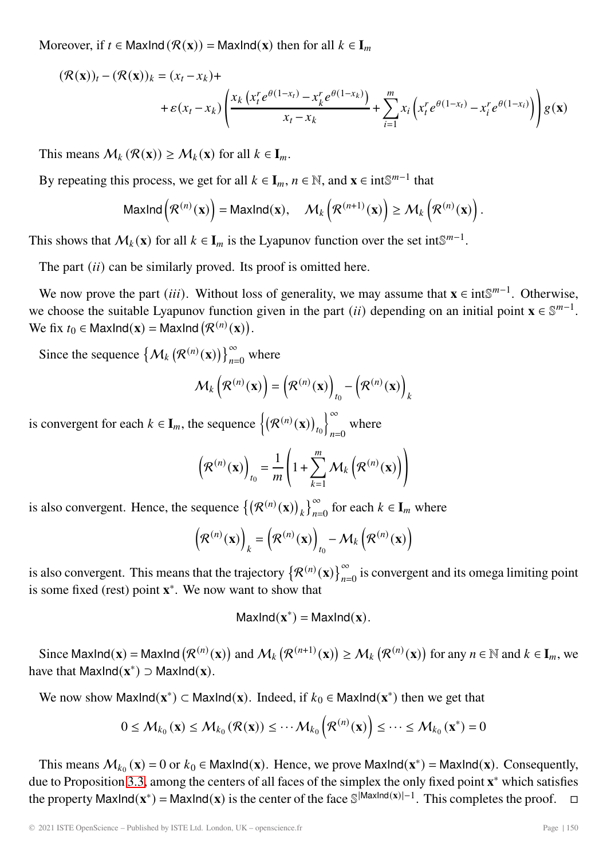Moreover, if  $t \in \text{MaxInd}(\mathcal{R}(\mathbf{x})) = \text{MaxInd}(\mathbf{x})$  then for all  $k \in \mathbf{I}_m$ 

$$
(\mathcal{R}(\mathbf{x}))_t - (\mathcal{R}(\mathbf{x}))_k = (x_t - x_k) +
$$
  
+  $\varepsilon (x_t - x_k) \left( \frac{x_k (x_t^r e^{\theta(1 - x_t)} - x_k^r e^{\theta(1 - x_k)})}{x_t - x_k} + \sum_{i=1}^m x_i (x_t^r e^{\theta(1 - x_i)} - x_i^r e^{\theta(1 - x_i)}) \right) g(\mathbf{x})$ 

This means  $M_k(\mathcal{R}(\mathbf{x})) \geq M_k(\mathbf{x})$  for all  $k \in \mathbf{I}_m$ .

By repeating this process, we get for all  $k \in I_m$ ,  $n \in \mathbb{N}$ , and  $\mathbf{x} \in \text{int}\mathbb{S}^{m-1}$  that

$$
\mathsf{MaxInd}\left(\mathcal{R}^{(n)}(\mathbf{x})\right) = \mathsf{MaxInd}(\mathbf{x}), \quad \mathcal{M}_k\left(\mathcal{R}^{(n+1)}(\mathbf{x})\right) \ge \mathcal{M}_k\left(\mathcal{R}^{(n)}(\mathbf{x})\right).
$$

This shows that  $\mathcal{M}_k(\mathbf{x})$  for all  $k \in \mathbf{I}_m$  is the Lyapunov function over the set intS<sup> $m-1$ </sup>.

The part  $(ii)$  can be similarly proved. Its proof is omitted here.

We now prove the part (*iii*). Without loss of generality, we may assume that **x** ∈ int $\mathbb{S}^{m-1}$ . Otherwise, we choose the suitable Lyapunov function given in the part (*ii*) depending on an initial point  $\mathbf{x} \in \mathbb{S}^{m-1}$ . We fix  $t_0 \in \text{MaxInd}(\mathbf{x}) = \text{MaxInd}(\mathcal{R}^{(n)}(\mathbf{x})).$ 

Since the sequence  $\left\{ \mathcal{M}_k \left( \mathcal{R}^{(n)}(\mathbf{x}) \right) \right\}_{n=0}^{\infty}$  where

$$
\mathcal{M}_{k}\left(\mathcal{R}^{(n)}(\mathbf{x})\right) = \left(\mathcal{R}^{(n)}(\mathbf{x})\right)_{t_{0}} - \left(\mathcal{R}^{(n)}(\mathbf{x})\right)_{k}
$$

is convergent for each  $k \in I_m$ , the sequence  $\left\{ (\mathcal{R}^{(n)}(\mathbf{x}))_{t_0} \right\}$ ∞  $n=0$ where

$$
\left(\mathcal{R}^{(n)}(\mathbf{x})\right)_{t_0} = \frac{1}{m} \left(1 + \sum_{k=1}^{m} \mathcal{M}_k\left(\mathcal{R}^{(n)}(\mathbf{x})\right)\right)
$$

is also convergent. Hence, the sequence  $\{(\mathcal{R}^{(n)}(\mathbf{x}))\}$  $\boldsymbol{k}$  $\int_{n=0}^{\infty}$  for each  $k \in I_m$  where

$$
\left(\mathcal{R}^{(n)}(\mathbf{x})\right)_k = \left(\mathcal{R}^{(n)}(\mathbf{x})\right)_{t_0} - \mathcal{M}_k\left(\mathcal{R}^{(n)}(\mathbf{x})\right)
$$

is also convergent. This means that the trajectory  $\{\mathcal{R}^{(n)}(\mathbf{x})\}_{n=0}^{\infty}$  is convergent and its omega limiting point<br>is some fixed (rest) point  $\mathbf{x}^*$ . We now went to show that is some fixed (rest) point **x**∗. We now want to show that

$$
MaxInd(x^*) = MaxInd(x).
$$

Since MaxInd(**x**) = MaxInd  $(\mathcal{R}^{(n)}(\mathbf{x}))$  and  $\mathcal{M}_k(\mathcal{R}^{(n+1)}(\mathbf{x})) \geq \mathcal{M}_k(\mathcal{R}^{(n)}(\mathbf{x}))$  for any  $n \in \mathbb{N}$  and  $k \in \mathbf{I}_m$ , we we that MaxInd(**x**<sup>\*</sup>) = MaxInd(**x**) have that MaxInd $(\mathbf{x}^*)$  ⊃ MaxInd $(\mathbf{x})$ .

We now show MaxInd( $\mathbf{x}^*$ ) ⊂ MaxInd( $\mathbf{x}$ ). Indeed, if  $k_0 \in \text{MaxInd}(\mathbf{x}^*)$  then we get that

$$
0 \leq M_{k_0}(\mathbf{x}) \leq M_{k_0}(\mathcal{R}(\mathbf{x})) \leq \cdots M_{k_0}(\mathcal{R}^{(n)}(\mathbf{x})) \leq \cdots \leq M_{k_0}(\mathbf{x}^*) = 0
$$

This means  $M_{k_0}(\mathbf{x}) = 0$  or  $k_0 \in \text{MaxInd}(\mathbf{x})$ . Hence, we prove MaxInd( $\mathbf{x}^*$ ) = MaxInd( $\mathbf{x}$ ). Consequently, due to Proposition [3.3,](#page-7-0) among the centers of all faces of the simplex the only fixed point **<sup>x</sup>**<sup>∗</sup> which satisfies the property MaxInd( $\mathbf{x}$ <sup>∗</sup>) = MaxInd( $\mathbf{x}$ ) is the center of the face  $\mathbb{S}^{|\mathbf{MaxInd}(\mathbf{x})|-1}$ . This completes the proof.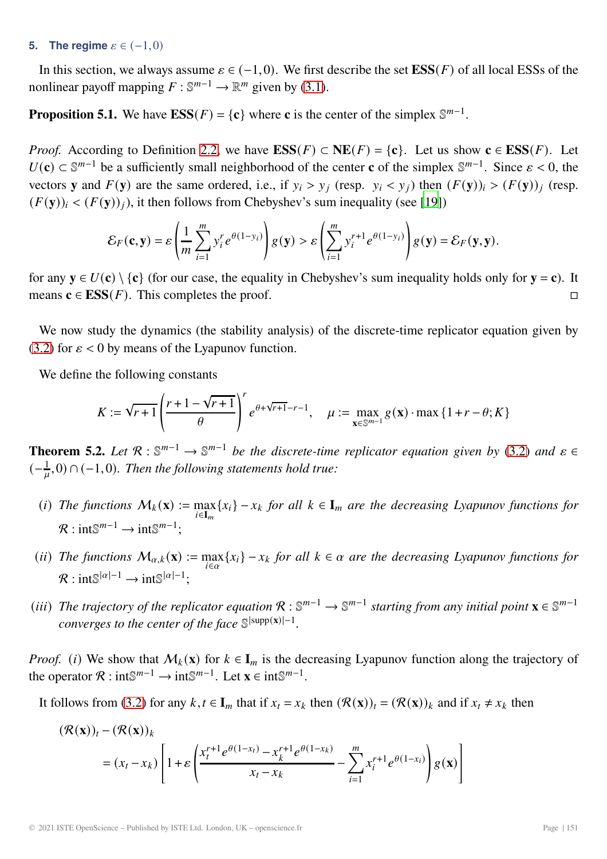#### <span id="page-12-0"></span>**5.** The regime  $\varepsilon \in (-1,0)$

In this section, we always assume  $\varepsilon \in (-1,0)$ . We first describe the set **ESS**(*F*) of all local ESSs of the nonlinear payoff mapping  $F : \mathbb{S}^{m-1} \to \mathbb{R}^m$  given by [\(3.1\)](#page-6-1).

**Proposition 5.1.** We have  $\text{ESS}(F) = \{c\}$  where **c** is the center of the simplex  $\mathbb{S}^{m-1}$ .

*Proof.* According to Definition [2.2,](#page-3-1) we have  $\text{ESS}(F) \subset \text{NE}(F) = \{c\}$ . Let us show  $c \in \text{ESS}(F)$ . Let  $U(\mathbf{c}) \subset \mathbb{S}^{m-1}$  be a sufficiently small neighborhood of the center **c** of the simplex  $\mathbb{S}^{m-1}$ . Since  $\varepsilon < 0$ , the vectors **y** and  $F(y)$  are the same ordered, i.e., if  $y_i > y_j$  (resp.  $y_i < y_j$ ) then  $(F(y))_i > (F(y))_i$  (resp.  $(F(y))_i < (F(y))_i$ , it then follows from Chebyshev's sum inequality (see [\[19](#page-15-15)])

$$
\mathcal{E}_F(\mathbf{c}, \mathbf{y}) = \varepsilon \left( \frac{1}{m} \sum_{i=1}^m y_i^r e^{\theta(1-y_i)} \right) g(\mathbf{y}) > \varepsilon \left( \sum_{i=1}^m y_i^{r+1} e^{\theta(1-y_i)} \right) g(\mathbf{y}) = \mathcal{E}_F(\mathbf{y}, \mathbf{y}).
$$

for any  $y \in U(c) \setminus \{c\}$  (for our case, the equality in Chebyshev's sum inequality holds only for  $y = c$ ). It means  $c \in ESS(F)$ . This completes the proof. means  $c \in ESS(F)$ . This completes the proof.

We now study the dynamics (the stability analysis) of the discrete-time replicator equation given by [\(3.2\)](#page-6-2) for  $\varepsilon$  < 0 by means of the Lyapunov function.

We define the following constants

$$
K := \sqrt{r+1} \left( \frac{r+1-\sqrt{r+1}}{\theta} \right)^r e^{\theta + \sqrt{r+1} - r - 1}, \quad \mu := \max_{\mathbf{x} \in \mathbb{S}^{m-1}} g(\mathbf{x}) \cdot \max \{1 + r - \theta; K\}
$$

**Theorem 5.2.** Let  $\mathcal{R}: \mathbb{S}^{m-1} \to \mathbb{S}^{m-1}$  be the discrete-time replicator equation given by [\(3.2\)](#page-6-2) and  $\varepsilon \in \mathcal{L}$  $\left(-\frac{1}{\mu},0\right) \cap (-1,0)$ *. Then the following statements hold true:* 

- (i) The functions  $M_k(\mathbf{x}) := \max_{i \in \mathbf{I}_m} \{x_i\} x_k$  for all  $k \in \mathbf{I}_m$  are the decreasing Lyapunov functions for  $\mathcal{P}_k$  integral integral.  $\mathcal{R}: \text{int}\mathbb{S}^{m-1}\rightarrow \text{int}\mathbb{S}^{m-1}$ :
- (*ii*) The functions  $M_{\alpha,k}(\mathbf{x}) := \max_{i \in \alpha} \{x_i\} x_k$  for all  $k \in \alpha$  are the decreasing Lyapunov functions for  $\mathcal{R}$  · int $\mathbb{S}^{|\alpha|-1} \to \text{int} \mathbb{S}^{|\alpha|-1}$ .
- (iii) The trajectory of the replicator equation  $\mathcal{R}: \mathbb{S}^{m-1} \to \mathbb{S}^{m-1}$  starting from any initial point  $\mathbf{x} \in \mathbb{S}^{m-1}$ *converges to the center of the face*  $\mathbb{S}^{\text{supp}(\mathbf{x})[-1]}$ .

*Proof.* (i) We show that  $M_k(\mathbf{x})$  for  $k \in I_m$  is the decreasing Lyapunov function along the trajectory of the operator  $\mathcal{R}: \text{int}\mathbb{S}^{m-1} \to \text{int}\mathbb{S}^{m-1}$ . Let  $\mathbf{x} \in \text{int}\mathbb{S}^{m-1}$ .

It follows from [\(3.2\)](#page-6-2) for any  $k, t \in I_m$  that if  $x_t = x_k$  then  $(\mathcal{R}(\mathbf{x}))_t = (\mathcal{R}(\mathbf{x}))_k$  and if  $x_t \neq x_k$  then

$$
(\mathcal{R}(\mathbf{x}))_t - (\mathcal{R}(\mathbf{x}))_k
$$
  
=  $(x_t - x_k) \left[ 1 + \varepsilon \left( \frac{x_t^{r+1} e^{\theta(1-x_t)} - x_k^{r+1} e^{\theta(1-x_k)}}{x_t - x_k} - \sum_{i=1}^m x_i^{r+1} e^{\theta(1-x_i)} \right) g(\mathbf{x}) \right]$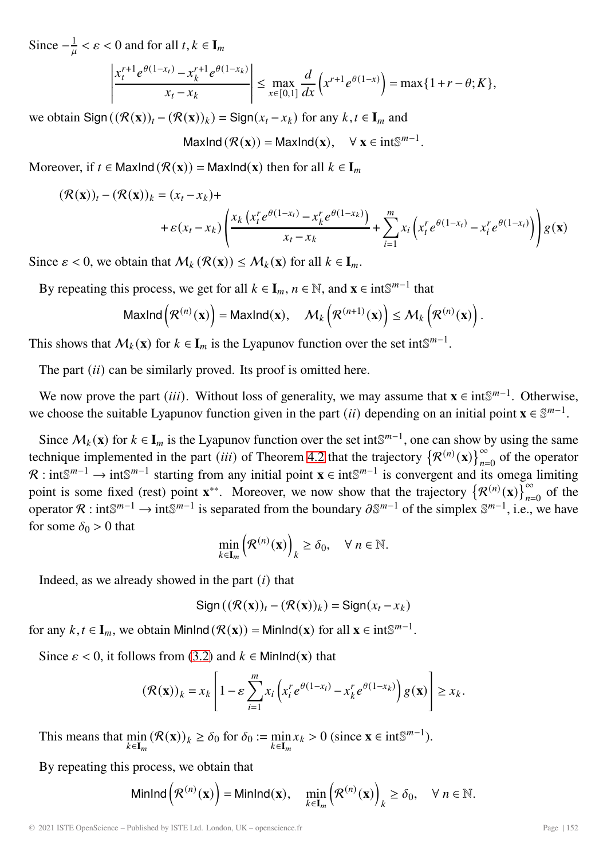Since  $-\frac{1}{\mu} < \varepsilon < 0$  and for all  $t, k \in I_m$ 

$$
\left|\frac{x_t^{r+1}e^{\theta(1-x_t)} - x_k^{r+1}e^{\theta(1-x_k)}}{x_t - x_k}\right| \le \max_{x \in [0,1]} \frac{d}{dx} \left(x^{r+1}e^{\theta(1-x)}\right) = \max\{1+r-\theta;K\},\
$$

we obtain  $\text{Sign}\left((\mathcal{R}(\mathbf{x}))_t - (\mathcal{R}(\mathbf{x}))_k\right) = \text{Sign}(x_t - x_k)$  for any  $k, t \in I_m$  and

MaxInd  $(\mathcal{R}(\mathbf{x})) = \text{MaxInd}(\mathbf{x}), \quad \forall \mathbf{x} \in \text{int}^{\mathbb{S}^{m-1}}.$ 

Moreover, if  $t \in \text{MaxInd}(\mathcal{R}(\mathbf{x})) = \text{MaxInd}(\mathbf{x})$  then for all  $k \in \mathbf{I}_m$ 

$$
(\mathcal{R}(\mathbf{x}))_t - (\mathcal{R}(\mathbf{x}))_k = (x_t - x_k) +
$$
  
+  $\varepsilon (x_t - x_k) \left( \frac{x_k (x_t^r e^{\theta(1 - x_t)} - x_k^r e^{\theta(1 - x_k)})}{x_t - x_k} + \sum_{i=1}^m x_i (x_t^r e^{\theta(1 - x_t)} - x_i^r e^{\theta(1 - x_i)}) \right) g(\mathbf{x})$ 

Since  $\varepsilon$  < 0, we obtain that  $\mathcal{M}_k(\mathcal{R}(\mathbf{x})) \leq \mathcal{M}_k(\mathbf{x})$  for all  $k \in \mathbf{I}_m$ .

By repeating this process, we get for all  $k \in I_m$ ,  $n \in \mathbb{N}$ , and  $\mathbf{x} \in \text{int}\mathbb{S}^{m-1}$  that

$$
\mathsf{MaxInd}\left(\mathcal{R}^{(n)}(\mathbf{x})\right) = \mathsf{MaxInd}(\mathbf{x}), \quad \mathcal{M}_k\left(\mathcal{R}^{(n+1)}(\mathbf{x})\right) \leq \mathcal{M}_k\left(\mathcal{R}^{(n)}(\mathbf{x})\right).
$$

This shows that  $\mathcal{M}_k(\mathbf{x})$  for  $k \in \mathbf{I}_m$  is the Lyapunov function over the set int $\mathbb{S}^{m-1}$ .

The part  $(ii)$  can be similarly proved. Its proof is omitted here.

We now prove the part (*iii*). Without loss of generality, we may assume that **x** ∈ int $\mathbb{S}^{m-1}$ . Otherwise, we choose the suitable Lyapunov function given in the part (*ii*) depending on an initial point  $\mathbf{x} \in \mathbb{S}^{m-1}$ .

Since  $\mathcal{M}_k(\mathbf{x})$  for  $k \in I_m$  is the Lyapunov function over the set int S<sup>m-1</sup>, one can show by using the same technique implemented in the part (*iii*) of Theorem [4.2](#page-10-0) that the trajectory  $\{\mathcal{R}^{(n)}(\mathbf{x})\}_{n=0}^{\infty}$  of the operator  $\mathcal{R}$  : int $\mathbb{S}^{m-1}$  is a convergent and its emage limiting  $\mathcal{R}: \text{int}\mathbb{S}^{m-1} \to \text{int}\mathbb{S}^{m-1}$  starting from any initial point **x** ∈ int $\mathbb{S}^{m-1}$  is convergent and its omega limiting point is some fixed (rest) point **x**<sup>∗∗</sup>. Moreover, we now show that the trajectory  $\{\mathcal{R}^{(n)}(\mathbf{x})\}_{n=0}^{\infty}$  of the operator  $\mathcal{P}$ , int $\mathbb{S}^{m-1}$  is soperated from the boundary  $\mathcal{S}^{m-1}$  of the simplex  $\mathbb$ operator R : int $\mathbb{S}^{m-1}$  → int $\mathbb{S}^{m-1}$  is separated from the boundary  $\partial \mathbb{S}^{m-1}$  of the simplex  $\mathbb{S}^{m-1}$ , i.e., we have for some  $\delta_0 > 0$  that

$$
\min_{k \in \mathbf{I}_m} \left( \mathcal{R}^{(n)}(\mathbf{x}) \right)_k \ge \delta_0, \quad \forall \ n \in \mathbb{N}.
$$

Indeed, as we already showed in the part  $(i)$  that

$$
\operatorname{Sign}\left((\mathcal{R}(\mathbf{x}))_t - (\mathcal{R}(\mathbf{x}))_k\right) = \operatorname{Sign}(x_t - x_k)
$$

for any  $k, t \in I_m$ , we obtain MinInd  $(\mathcal{R}(\mathbf{x})) = \text{MinInd}(\mathbf{x})$  for all  $\mathbf{x} \in \text{int} \mathbb{S}^{m-1}$ .

Since  $\varepsilon$  < 0, it follows from [\(3.2\)](#page-6-2) and  $k \in$  MinInd(**x**) that

$$
\left(\mathcal{R}(\mathbf{x})\right)_k = x_k \left[1 - \varepsilon \sum_{i=1}^m x_i \left(x_i^r e^{\theta(1-x_i)} - x_k^r e^{\theta(1-x_k)}\right) g(\mathbf{x})\right] \ge x_k.
$$

This means that min  $\min_{k \in I_m} (\mathcal{R}(\mathbf{x}))_k \ge \delta_0$  for  $\delta_0 := \min_{k \in I_m} x_k > 0$  (since  $\mathbf{x} \in \text{int}^m S^{m-1}$ ).

By repeating this process, we obtain that

$$
\text{MinInd}\left(\mathcal{R}^{(n)}(\mathbf{x})\right) = \text{MinInd}(\mathbf{x}), \quad \min_{k \in \mathbf{I}_m} \left(\mathcal{R}^{(n)}(\mathbf{x})\right)_k \ge \delta_0, \quad \forall \ n \in \mathbb{N}.
$$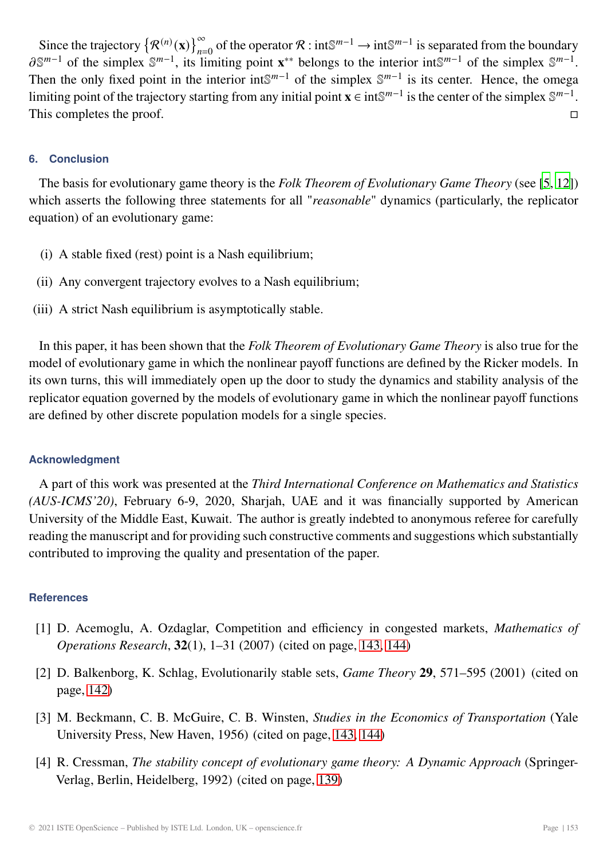<span id="page-14-4"></span>Since the trajectory  $\{\mathcal{R}^{(n)}(\mathbf{x})\}_{n=0}^{\infty}$  of the operator  $\mathcal{R}: \text{int}\mathbb{S}^{m-1} \to \text{int}\mathbb{S}^{m-1}$  is separated from the boundary  $\mathbb{S}^{m-1}$  of the simplex  $\mathbb{S}^{m-1}$  is limiting point  $\mathbf{x}^{**}$  belongs to  $\partial \mathbb{S}^{m-1}$  of the simplex  $\mathbb{S}^{m-1}$ , its limiting point **x**<sup>\*\*</sup> belongs to the interior int $\mathbb{S}^{m-1}$  of the simplex  $\mathbb{S}^{m-1}$ . Then the only fixed point in the interior int $\mathbb{S}^{m-1}$  of the simplex  $\mathbb{S}^{m-1}$  is its center. Hence, the omega limiting point of the trajectory starting from any initial point **x** ∈ intS<sup> $m-1$ </sup> is the center of the simplex S<sup> $m-1$ </sup>.<br>This completes the proof. This completes the proof.

# **6. Conclusion**

The basis for evolutionary game theory is the *Folk Theorem of Evolutionary Game Theory* (see [\[5](#page-15-3), [12](#page-15-7)]) which asserts the following three statements for all "*reasonable*" dynamics (particularly, the replicator equation) of an evolutionary game:

- (i) A stable fixed (rest) point is a Nash equilibrium;
- (ii) Any convergent trajectory evolves to a Nash equilibrium;
- (iii) A strict Nash equilibrium is asymptotically stable.

In this paper, it has been shown that the *Folk Theorem of Evolutionary Game Theory* is also true for the model of evolutionary game in which the nonlinear payoff functions are defined by the Ricker models. In its own turns, this will immediately open up the door to study the dynamics and stability analysis of the replicator equation governed by the models of evolutionary game in which the nonlinear payoff functions are defined by other discrete population models for a single species.

## **Acknowledgment**

A part of this work was presented at the *Third International Conference on Mathematics and Statistics (AUS-ICMS'20)*, February 6-9, 2020, Sharjah, UAE and it was financially supported by American University of the Middle East, Kuwait. The author is greatly indebted to anonymous referee for carefully reading the manuscript and for providing such constructive comments and suggestions which substantially contributed to improving the quality and presentation of the paper.

## **References**

- <span id="page-14-3"></span>[1] D. Acemoglu, A. Ozdaglar, Competition and efficiency in congested markets, *Mathematics of Operations Research*, **32**(1), 1–31 (2007) (cited on page, [143,](#page-4-0) [144\)](#page-5-0)
- <span id="page-14-1"></span>[2] D. Balkenborg, K. Schlag, Evolutionarily stable sets, *Game Theory* **29**, 571–595 (2001) (cited on page, [142\)](#page-3-2)
- <span id="page-14-2"></span>[3] M. Beckmann, C. B. McGuire, C. B. Winsten, *Studies in the Economics of Transportation* (Yale University Press, New Haven, 1956) (cited on page, [143,](#page-4-0) [144\)](#page-5-0)
- <span id="page-14-0"></span>[4] R. Cressman, *The stability concept of evolutionary game theory: A Dynamic Approach* (Springer-Verlag, Berlin, Heidelberg, 1992) (cited on page, [139\)](#page-0-0)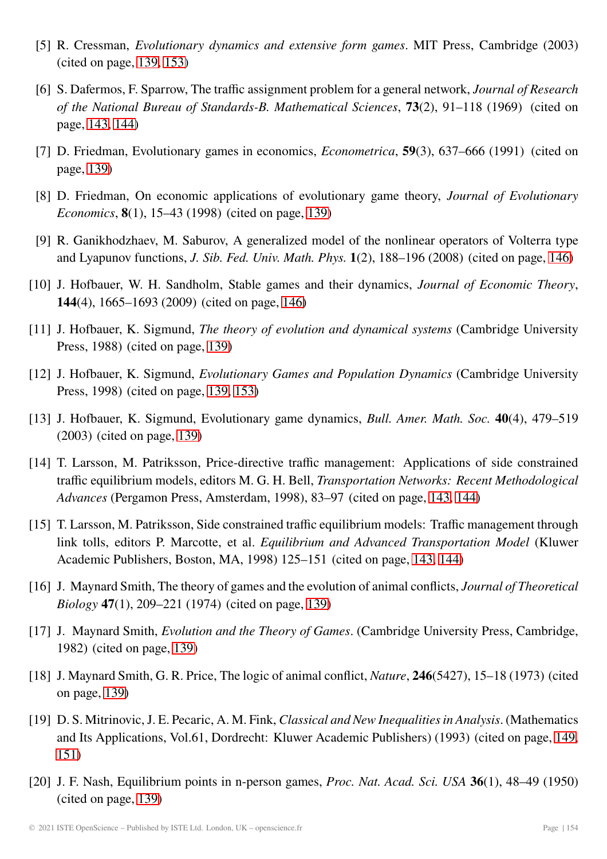- <span id="page-15-3"></span>[5] R. Cressman, *Evolutionary dynamics and extensive form games*. MIT Press, Cambridge (2003) (cited on page, [139,](#page-0-0) [153\)](#page-14-4)
- <span id="page-15-10"></span>[6] S. Dafermos, F. Sparrow, The traffic assignment problem for a general network, *Journal of Research of the National Bureau of Standards-B. Mathematical Sciences*, **73**(2), 91–118 (1969) (cited on page, [143,](#page-4-0) [144\)](#page-5-0)
- <span id="page-15-4"></span>[7] D. Friedman, Evolutionary games in economics, *Econometrica*, **59**(3), 637–666 (1991) (cited on page, [139\)](#page-0-0)
- <span id="page-15-5"></span>[8] D. Friedman, On economic applications of evolutionary game theory, *Journal of Evolutionary Economics*, **8**(1), 15–43 (1998) (cited on page, [139\)](#page-0-0)
- <span id="page-15-14"></span>[9] R. Ganikhodzhaev, M. Saburov, A generalized model of the nonlinear operators of Volterra type and Lyapunov functions, *J. Sib. Fed. Univ. Math. Phys.* **1**(2), 188–196 (2008) (cited on page, [146\)](#page-7-1)
- <span id="page-15-13"></span>[10] J. Hofbauer, W. H. Sandholm, Stable games and their dynamics, *Journal of Economic Theory*, **144**(4), 1665–1693 (2009) (cited on page, [146\)](#page-7-1)
- <span id="page-15-6"></span>[11] J. Hofbauer, K. Sigmund, *The theory of evolution and dynamical systems* (Cambridge University Press, 1988) (cited on page, [139\)](#page-0-0)
- <span id="page-15-7"></span>[12] J. Hofbauer, K. Sigmund, *Evolutionary Games and Population Dynamics* (Cambridge University Press, 1998) (cited on page, [139,](#page-0-0) [153\)](#page-14-4)
- <span id="page-15-8"></span>[13] J. Hofbauer, K. Sigmund, Evolutionary game dynamics, *Bull. Amer. Math. Soc.* **40**(4), 479–519 (2003) (cited on page, [139\)](#page-0-0)
- <span id="page-15-11"></span>[14] T. Larsson, M. Patriksson, Price-directive traffic management: Applications of side constrained traffic equilibrium models, editors M. G. H. Bell, *Transportation Networks: Recent Methodological Advances* (Pergamon Press, Amsterdam, 1998), 83–97 (cited on page, [143,](#page-4-0) [144\)](#page-5-0)
- <span id="page-15-12"></span>[15] T. Larsson, M. Patriksson, Side constrained traffic equilibrium models: Traffic management through link tolls, editors P. Marcotte, et al. *Equilibrium and Advanced Transportation Model* (Kluwer Academic Publishers, Boston, MA, 1998) 125–151 (cited on page, [143,](#page-4-0) [144\)](#page-5-0)
- <span id="page-15-2"></span>[16] J. Maynard Smith, The theory of games and the evolution of animal conflicts, *Journal of Theoretical Biology* **47**(1), 209–221 (1974) (cited on page, [139\)](#page-0-0)
- <span id="page-15-1"></span>[17] J. Maynard Smith, *Evolution and the Theory of Games*. (Cambridge University Press, Cambridge, 1982) (cited on page, [139\)](#page-0-0)
- <span id="page-15-0"></span>[18] J. Maynard Smith, G. R. Price, The logic of animal conflict, *Nature*, **246**(5427), 15–18 (1973) (cited on page, [139\)](#page-0-0)
- <span id="page-15-15"></span>[19] D. S. Mitrinovic, J. E. Pecaric, A. M. Fink, *Classical and New Inequalities in Analysis*. (Mathematics and Its Applications, Vol.61, Dordrecht: Kluwer Academic Publishers) (1993) (cited on page, [149,](#page-10-1) [151\)](#page-12-0)
- <span id="page-15-9"></span>[20] J. F. Nash, Equilibrium points in n-person games, *Proc. Nat. Acad. Sci. USA* **36**(1), 48–49 (1950) (cited on page, [139\)](#page-0-0)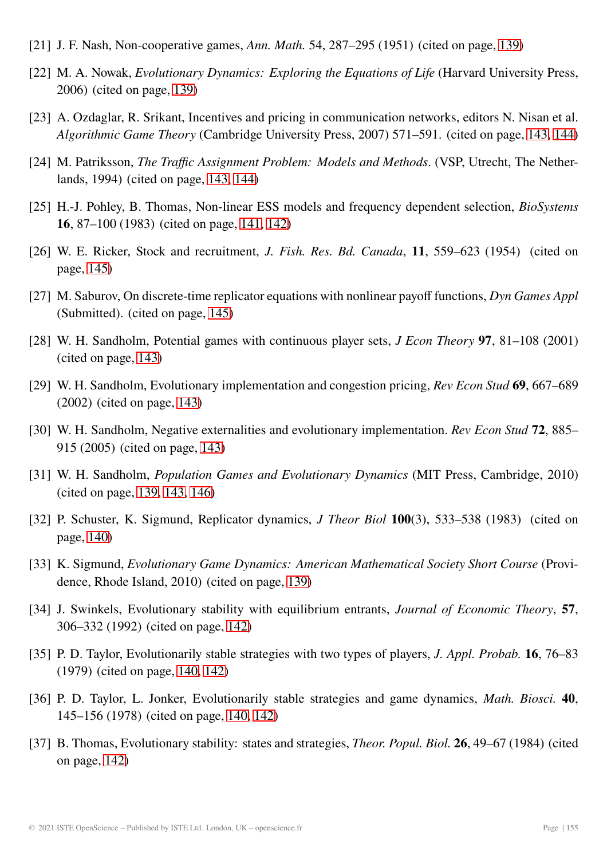- <span id="page-16-3"></span>[21] J. F. Nash, Non-cooperative games, *Ann. Math.* 54, 287–295 (1951) (cited on page, [139\)](#page-0-0)
- <span id="page-16-0"></span>[22] M. A. Nowak, *Evolutionary Dynamics: Exploring the Equations of Life* (Harvard University Press, 2006) (cited on page, [139\)](#page-0-0)
- <span id="page-16-13"></span>[23] A. Ozdaglar, R. Srikant, Incentives and pricing in communication networks, editors N. Nisan et al. *Algorithmic Game Theory* (Cambridge University Press, 2007) 571–591. (cited on page, [143,](#page-4-0) [144\)](#page-5-0)
- <span id="page-16-14"></span>[24] M. Patriksson, *The Traffic Assignment Problem: Models and Methods*. (VSP, Utrecht, The Netherlands, 1994) (cited on page, [143,](#page-4-0) [144\)](#page-5-0)
- <span id="page-16-7"></span>[25] H.-J. Pohley, B. Thomas, Non-linear ESS models and frequency dependent selection, *BioSystems* **16**, 87–100 (1983) (cited on page, [141,](#page-2-0) [142\)](#page-3-2)
- <span id="page-16-16"></span>[26] W. E. Ricker, Stock and recruitment, *J. Fish. Res. Bd. Canada*, **11**, 559–623 (1954) (cited on page, [145\)](#page-6-3)
- <span id="page-16-15"></span>[27] M. Saburov, On discrete-time replicator equations with nonlinear payoff functions, *Dyn Games Appl* (Submitted). (cited on page, [145\)](#page-6-3)
- <span id="page-16-10"></span>[28] W. H. Sandholm, Potential games with continuous player sets, *J Econ Theory* **97**, 81–108 (2001) (cited on page, [143\)](#page-4-0)
- <span id="page-16-11"></span>[29] W. H. Sandholm, Evolutionary implementation and congestion pricing, *Rev Econ Stud* **69**, 667–689 (2002) (cited on page, [143\)](#page-4-0)
- <span id="page-16-12"></span>[30] W. H. Sandholm, Negative externalities and evolutionary implementation. *Rev Econ Stud* **72**, 885– 915 (2005) (cited on page, [143\)](#page-4-0)
- <span id="page-16-1"></span>[31] W. H. Sandholm, *Population Games and Evolutionary Dynamics* (MIT Press, Cambridge, 2010) (cited on page, [139,](#page-0-0) [143,](#page-4-0) [146\)](#page-7-1)
- <span id="page-16-6"></span>[32] P. Schuster, K. Sigmund, Replicator dynamics, *J Theor Biol* **100**(3), 533–538 (1983) (cited on page, [140\)](#page-1-0)
- <span id="page-16-2"></span>[33] K. Sigmund, *Evolutionary Game Dynamics: American Mathematical Society Short Course* (Providence, Rhode Island, 2010) (cited on page, [139\)](#page-0-0)
- <span id="page-16-9"></span>[34] J. Swinkels, Evolutionary stability with equilibrium entrants, *Journal of Economic Theory*, **57**, 306–332 (1992) (cited on page, [142\)](#page-3-2)
- <span id="page-16-5"></span>[35] P. D. Taylor, Evolutionarily stable strategies with two types of players, *J. Appl. Probab.* **16**, 76–83 (1979) (cited on page, [140,](#page-1-0) [142\)](#page-3-2)
- <span id="page-16-4"></span>[36] P. D. Taylor, L. Jonker, Evolutionarily stable strategies and game dynamics, *Math. Biosci.* **40**, 145–156 (1978) (cited on page, [140,](#page-1-0) [142\)](#page-3-2)
- <span id="page-16-8"></span>[37] B. Thomas, Evolutionary stability: states and strategies, *Theor. Popul. Biol.* **26**, 49–67 (1984) (cited on page, [142\)](#page-3-2)